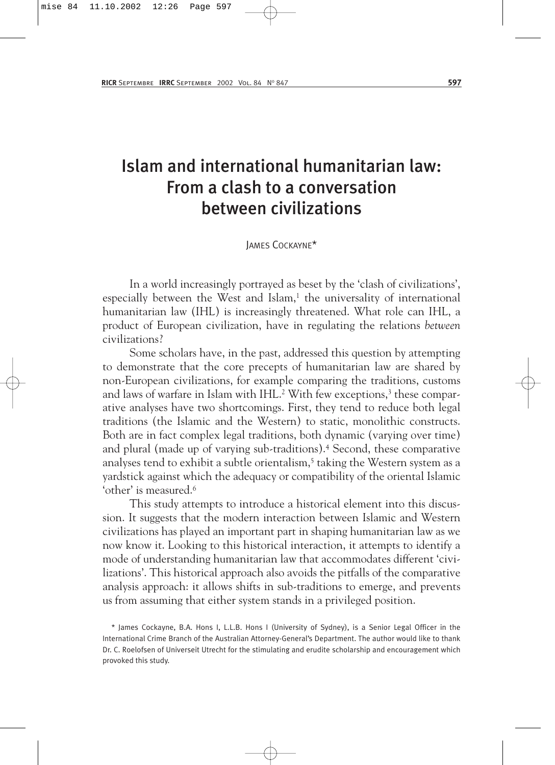# Islam and international humanitarian law: From a clash to a conversation between civilizations

JAMES COCKAYNE\*

In a world increasingly portrayed as beset by the 'clash of civilizations', especially between the West and Islam,<sup>1</sup> the universality of international humanitarian law (IHL) is increasingly threatened. What role can IHL, a product of European civilization, have in regulating the relations *between* civilizations?

Some scholars have, in the past, addressed this question by attempting to demonstrate that the core precepts of humanitarian law are shared by non-European civilizations, for example comparing the traditions, customs and laws of warfare in Islam with IHL.<sup>2</sup> With few exceptions,<sup>3</sup> these comparative analyses have two shortcomings. First, they tend to reduce both legal traditions (the Islamic and the Western) to static, monolithic constructs. Both are in fact complex legal traditions, both dynamic (varying over time) and plural (made up of varying sub-traditions).4 Second, these comparative analyses tend to exhibit a subtle orientalism,<sup>5</sup> taking the Western system as a yardstick against which the adequacy or compatibility of the oriental Islamic 'other' is measured.<sup>6</sup>

This study attempts to introduce a historical element into this discussion. It suggests that the modern interaction between Islamic and Western civilizations has played an important part in shaping humanitarian law as we now know it. Looking to this historical interaction, it attempts to identify a mode of understanding humanitarian law that accommodates different 'civilizations'. This historical approach also avoids the pitfalls of the comparative analysis approach: it allows shifts in sub-traditions to emerge, and prevents us from assuming that either system stands in a privileged position.

<sup>\*</sup> James Cockayne, B.A. Hons I, L.L.B. Hons I (University of Sydney), is a Senior Legal Officer in the International Crime Branch of the Australian Attorney-General's Department. The author would like to thank Dr. C. Roelofsen of Universeit Utrecht for the stimulating and erudite scholarship and encouragement which provoked this study.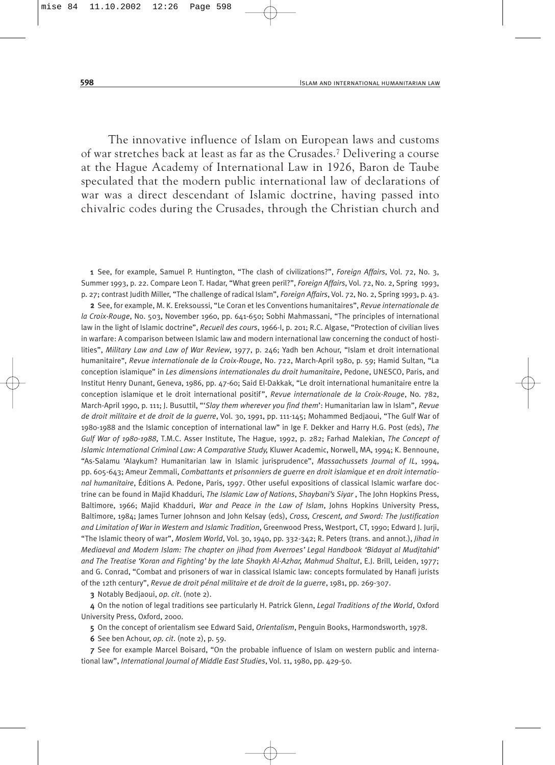The innovative influence of Islam on European laws and customs of war stretches back at least as far as the Crusades.7 Delivering a course at the Hague Academy of International Law in 1926, Baron de Taube speculated that the modern public international law of declarations of war was a direct descendant of Islamic doctrine, having passed into chivalric codes during the Crusades, through the Christian church and

1 See, for example, Samuel P. Huntington, "The clash of civilizations?", *Foreign Affairs*, Vol. 72, No. 3, Summer 1993, p. 22. Compare Leon T. Hadar, "What green peril?", *Foreign Affairs*, Vol. 72, No. 2, Spring 1993, p. 27; contrast Judith Miller, "The challenge of radical Islam", *Foreign Affairs*, Vol. 72, No. 2, Spring 1993, p. 43.

2 See, for example, M. K. Ereksoussi, "Le Coran et les Conventions humanitaires", *Revue internationale de la Croix-Rouge*, No. 503, November 1960, pp. 641-650; Sobhi Mahmassani, "The principles of international law in the light of Islamic doctrine", *Recueil des cours*, 1966-I, p. 201; R.C. Algase, "Protection of civilian lives in warfare: A comparison between Islamic law and modern international law concerning the conduct of hostilities", *Military Law and Law of War Review*, 1977, p. 246; Yadh ben Achour, "Islam et droit international humanitaire", *Revue internationale de la Croix-Rouge*, No. 722, March-April 1980, p. 59; Hamid Sultan, "La conception islamique" in *Les dimensions internationales du droit humanitaire*, Pedone, UNESCO, Paris, and Institut Henry Dunant, Geneva, 1986, pp. 47-60; Said El-Dakkak, "Le droit international humanitaire entre la conception islamique et le droit international positif ", *Revue internationale de la Croix-Rouge*, No. 782, March-April 1990, p. 111; J. Busuttil, "'*Slay them wherever you find them*': Humanitarian law in Islam", *Revue de droit militaire et de droit de la guerre*, Vol. 30, 1991, pp. 111-145; Mohammed Bedjaoui, "The Gulf War of 1980-1988 and the Islamic conception of international law" in Ige F. Dekker and Harry H.G. Post (eds), *The Gulf War of 1980-1988*, T.M.C. Asser Institute, The Hague, 1992, p. 282; Farhad Malekian, *The Concept of Islamic International Criminal Law: A Comparative Study,* Kluwer Academic, Norwell, MA, 1994; K. Bennoune, "As-Salamu 'Alaykum? Humanitarian law in Islamic jurisprudence", *Massachussets Journal of IL*, 1994, pp. 605-643; Ameur Zemmali, *Combattants et prisonniers de guerre en droit islamique et en droit international humanitaire*, Éditions A. Pedone, Paris, 1997. Other useful expositions of classical Islamic warfare doctrine can be found in Majid Khadduri, *The Islamic Law of Nations*, *Shaybani's Siyar* , The John Hopkins Press, Baltimore, 1966; Majid Khadduri, *War and Peace in the Law of Islam*, Johns Hopkins University Press, Baltimore, 1984; James Turner Johnson and John Kelsay (eds), *Cross, Crescent, and Sword: The Justification and Limitation of War in Western and Islamic Tradition*, Greenwood Press, Westport, CT, 1990; Edward J. Jurji, "The Islamic theory of war", *Moslem World*, Vol. 30, 1940, pp. 332-342; R. Peters (trans. and annot.), *Jihad in Mediaeval and Modern Islam: The chapter on jihad from Averroes' Legal Handbook 'Bidayat al Mudjtahid' and The Treatise 'Koran and Fighting' by the late Shaykh Al-Azhar, Mahmud Shaltut*, E.J. Brill, Leiden, 1977; and G. Conrad, "Combat and prisoners of war in classical Islamic law: concepts formulated by Hanafi jurists of the 12th century", *Revue de droit pénal militaire et de droit de la guerre*, 1981, pp. 269-307.

3 Notably Bedjaoui, *op. cit*. (note 2).

4 On the notion of legal traditions see particularly H. Patrick Glenn, *Legal Traditions of the World*, Oxford University Press, Oxford, 2000.

5 On the concept of orientalism see Edward Said, *Orientalism*, Penguin Books, Harmondsworth, 1978.

6 See ben Achour, *op. cit*. (note 2), p. 59.

7 See for example Marcel Boisard, "On the probable influence of Islam on western public and international law", *International Journal of Middle East Studies*, Vol. 11, 1980, pp. 429-50.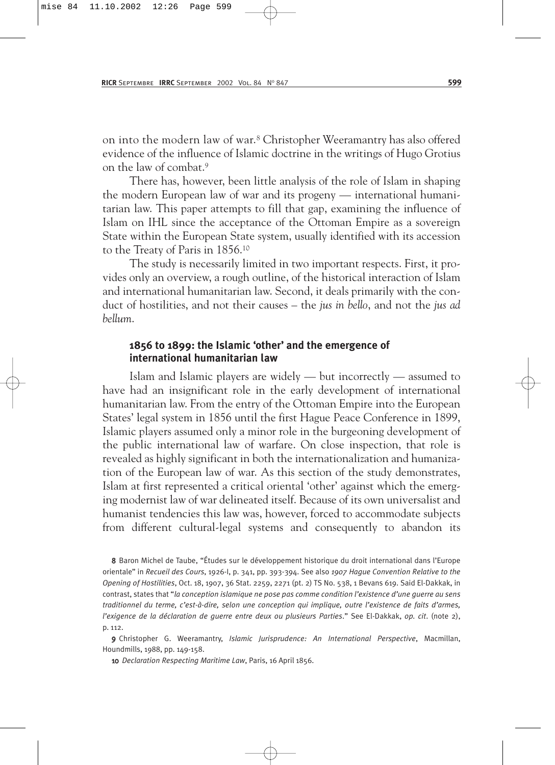on into the modern law of war.8 Christopher Weeramantry has also offered evidence of the influence of Islamic doctrine in the writings of Hugo Grotius on the law of combat.9

There has, however, been little analysis of the role of Islam in shaping the modern European law of war and its progeny — international humanitarian law. This paper attempts to fill that gap, examining the influence of Islam on IHL since the acceptance of the Ottoman Empire as a sovereign State within the European State system, usually identified with its accession to the Treaty of Paris in 1856.10

The study is necessarily limited in two important respects. First, it provides only an overview, a rough outline, of the historical interaction of Islam and international humanitarian law. Second, it deals primarily with the conduct of hostilities, and not their causes – the *jus in bello*, and not the *jus ad bellum*.

#### **1856 to 1899: the Islamic 'other' and the emergence of international humanitarian law**

Islam and Islamic players are widely — but incorrectly — assumed to have had an insignificant role in the early development of international humanitarian law. From the entry of the Ottoman Empire into the European States' legal system in 1856 until the first Hague Peace Conference in 1899, Islamic players assumed only a minor role in the burgeoning development of the public international law of warfare. On close inspection, that role is revealed as highly significant in both the internationalization and humanization of the European law of war. As this section of the study demonstrates, Islam at first represented a critical oriental 'other' against which the emerging modernist law of war delineated itself. Because of its own universalist and humanist tendencies this law was, however, forced to accommodate subjects from different cultural-legal systems and consequently to abandon its

8 Baron Michel de Taube, "Études sur le développement historique du droit international dans l'Europe orientale" in *Recueil des Cours*, 1926-I, p. 341, pp. 393-394. See also *1907 Hague Convention Relative to the Opening of Hostilities*, Oct. 18, 1907, 36 Stat. 2259, 2271 (pt. 2) TS No. 538, 1 Bevans 619. Said El-Dakkak, in contrast, states that "*la conception islamique ne pose pas comme condition l'existence d'une guerre au sens traditionnel du terme, c'est-à-dire, selon une conception qui implique, outre l'existence de faits d'armes, l'exigence de la déclaration de guerre entre deux ou plusieurs Parties*." See El-Dakkak, *op. cit*. (note 2), p. 112.

9 Christopher G. Weeramantry, *Islamic Jurisprudence: An International Perspective*, Macmillan, Houndmills, 1988, pp. 149-158.

10 *Declaration Respecting Maritime Law*, Paris, 16 April 1856.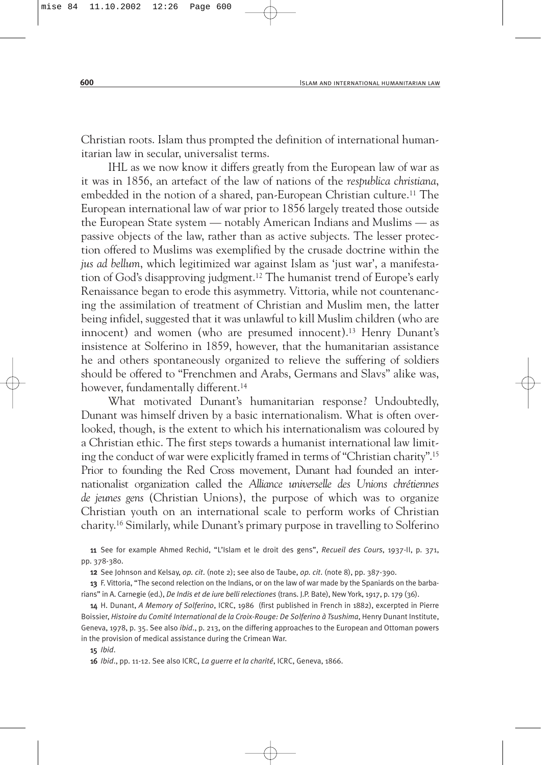Christian roots. Islam thus prompted the definition of international humanitarian law in secular, universalist terms.

IHL as we now know it differs greatly from the European law of war as it was in 1856, an artefact of the law of nations of the *respublica christiana*, embedded in the notion of a shared, pan-European Christian culture.<sup>11</sup> The European international law of war prior to 1856 largely treated those outside the European State system — notably American Indians and Muslims — as passive objects of the law, rather than as active subjects. The lesser protection offered to Muslims was exemplified by the crusade doctrine within the *jus ad bellum*, which legitimized war against Islam as 'just war', a manifestation of God's disapproving judgment.12 The humanist trend of Europe's early Renaissance began to erode this asymmetry. Vittoria, while not countenancing the assimilation of treatment of Christian and Muslim men, the latter being infidel, suggested that it was unlawful to kill Muslim children (who are innocent) and women (who are presumed innocent).13 Henry Dunant's insistence at Solferino in 1859, however, that the humanitarian assistance he and others spontaneously organized to relieve the suffering of soldiers should be offered to "Frenchmen and Arabs, Germans and Slavs" alike was, however, fundamentally different.<sup>14</sup>

What motivated Dunant's humanitarian response? Undoubtedly, Dunant was himself driven by a basic internationalism. What is often overlooked, though, is the extent to which his internationalism was coloured by a Christian ethic. The first steps towards a humanist international law limiting the conduct of war were explicitly framed in terms of "Christian charity".15 Prior to founding the Red Cross movement, Dunant had founded an internationalist organization called the *Alliance universelle des Unions chrétiennes de jeunes gens* (Christian Unions), the purpose of which was to organize Christian youth on an international scale to perform works of Christian charity.16 Similarly, while Dunant's primary purpose in travelling to Solferino

11 See for example Ahmed Rechid, "L'Islam et le droit des gens", *Recueil des Cours*, 1937-II, p. 371, pp. 378-380.

12 See Johnson and Kelsay, *op. cit*. (note 2); see also de Taube, *op. cit*. (note 8), pp. 387-390.

13 F. Vittoria, "The second relection on the Indians, or on the law of war made by the Spaniards on the barbarians" in A. Carnegie (ed.), *De Indis et de iure belli relectiones* (trans. J.P. Bate), New York, 1917, p. 179 (36).

14 H. Dunant, *A Memory of Solferino*, ICRC, 1986 (first published in French in 1882), excerpted in Pierre Boissier, *Histoire du Comité International de la Croix-Rouge: De Solferino à Tsushima*, Henry Dunant Institute, Geneva, 1978, p. 35. See also *ibid*., p. 213, on the differing approaches to the European and Ottoman powers in the provision of medical assistance during the Crimean War.

15 *Ibid*.

16 *Ibid*., pp. 11-12. See also ICRC, *La guerre et la charité*, ICRC, Geneva, 1866.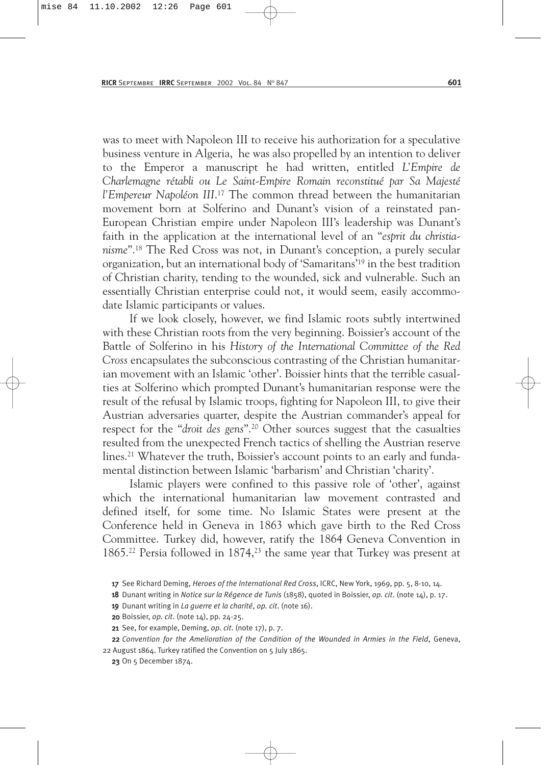was to meet with Napoleon III to receive his authorization for a speculative business venture in Algeria, he was also propelled by an intention to deliver to the Emperor a manuscript he had written, entitled *L'Empire de Charlemagne rétabli ou Le Saint-Empire Romain reconstitué par Sa Majesté l'Empereur Napoléon III*. <sup>17</sup> The common thread between the humanitarian movement born at Solferino and Dunant's vision of a reinstated pan-European Christian empire under Napoleon III's leadership was Dunant's faith in the application at the international level of an "*esprit du christianisme*".18 The Red Cross was not, in Dunant's conception, a purely secular organization, but an international body of 'Samaritans'19 in the best tradition of Christian charity, tending to the wounded, sick and vulnerable. Such an essentially Christian enterprise could not, it would seem, easily accommodate Islamic participants or values.

If we look closely, however, we find Islamic roots subtly intertwined with these Christian roots from the very beginning. Boissier's account of the Battle of Solferino in his *History of the International Committee of the Red Cross* encapsulates the subconscious contrasting of the Christian humanitarian movement with an Islamic 'other'. Boissier hints that the terrible casualties at Solferino which prompted Dunant's humanitarian response were the result of the refusal by Islamic troops, fighting for Napoleon III, to give their Austrian adversaries quarter, despite the Austrian commander's appeal for respect for the "*droit des gens*".20 Other sources suggest that the casualties resulted from the unexpected French tactics of shelling the Austrian reserve lines.<sup>21</sup> Whatever the truth, Boissier's account points to an early and fundamental distinction between Islamic 'barbarism' and Christian 'charity'.

Islamic players were confined to this passive role of 'other', against which the international humanitarian law movement contrasted and defined itself, for some time. No Islamic States were present at the Conference held in Geneva in 1863 which gave birth to the Red Cross Committee. Turkey did, however, ratify the 1864 Geneva Convention in 1865.22 Persia followed in 1874,23 the same year that Turkey was present at

- 20 Boissier, *op. cit*. (note 14), pp. 24-25.
- 21 See, for example, Deming, *op. cit*. (note 17), p. 7.

<sup>17</sup> See Richard Deming, *Heroes of the International Red Cross*, ICRC, New York, 1969, pp. 5, 8-10, 14.

<sup>18</sup> Dunant writing in *Notice sur la Régence de Tunis* (1858), quoted in Boissier, *op. cit*. (note 14), p. 17.

<sup>19</sup> Dunant writing in *La guerre et la charité*, *op. cit*. (note 16).

<sup>22</sup> *Convention for the Amelioration of the Condition of the Wounded in Armies in the Field*, Geneva, 22 August 1864. Turkey ratified the Convention on 5 July 1865.

<sup>23</sup> On 5 December 1874.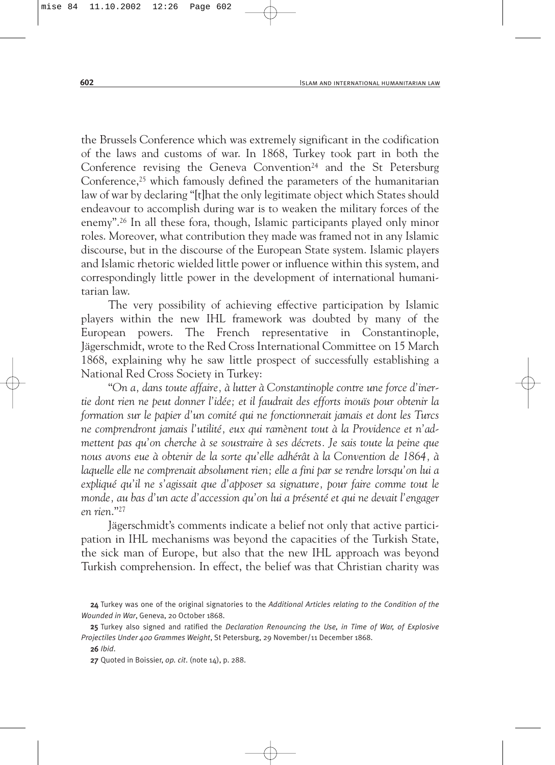the Brussels Conference which was extremely significant in the codification of the laws and customs of war. In 1868, Turkey took part in both the Conference revising the Geneva Convention<sup>24</sup> and the St Petersburg Conference,<sup>25</sup> which famously defined the parameters of the humanitarian law of war by declaring "[t]hat the only legitimate object which States should endeavour to accomplish during war is to weaken the military forces of the enemy".26 In all these fora, though, Islamic participants played only minor roles. Moreover, what contribution they made was framed not in any Islamic discourse, but in the discourse of the European State system. Islamic players and Islamic rhetoric wielded little power or influence within this system, and correspondingly little power in the development of international humanitarian law.

The very possibility of achieving effective participation by Islamic players within the new IHL framework was doubted by many of the European powers. The French representative in Constantinople, Jägerschmidt, wrote to the Red Cross International Committee on 15 March 1868, explaining why he saw little prospect of successfully establishing a National Red Cross Society in Turkey:

"*On a, dans toute affaire, à lutter à Constantinople contre une force d'inertie dont rien ne peut donner l'idée; et il faudrait des efforts inouïs pour obtenir la formation sur le papier d'un comité qui ne fonctionnerait jamais et dont les Turcs ne comprendront jamais l'utilité, eux qui ramènent tout à la Providence et n'admettent pas qu'on cherche à se soustraire à ses décrets. Je sais toute la peine que nous avons eue à obtenir de la sorte qu'elle adhérât à la Convention de 1864, à laquelle elle ne comprenait absolument rien; elle a fini par se rendre lorsqu'on lui a expliqué qu'il ne s'agissait que d'apposer sa signature, pour faire comme tout le monde, au bas d'un acte d'accession qu'on lui a présenté et qui ne devait l'engager en rien*."27

Jägerschmidt's comments indicate a belief not only that active participation in IHL mechanisms was beyond the capacities of the Turkish State, the sick man of Europe, but also that the new IHL approach was beyond Turkish comprehension. In effect, the belief was that Christian charity was

<sup>24</sup> Turkey was one of the original signatories to the *Additional Articles relating to the Condition of the Wounded in War*, Geneva, 20 October 1868.

<sup>25</sup> Turkey also signed and ratified the *Declaration Renouncing the Use, in Time of War, of Explosive Projectiles Under 400 Grammes Weight*, St Petersburg, 29 November/11 December 1868.

<sup>26</sup> *Ibid*.

<sup>27</sup> Quoted in Boissier, *op. cit*. (note 14), p. 288.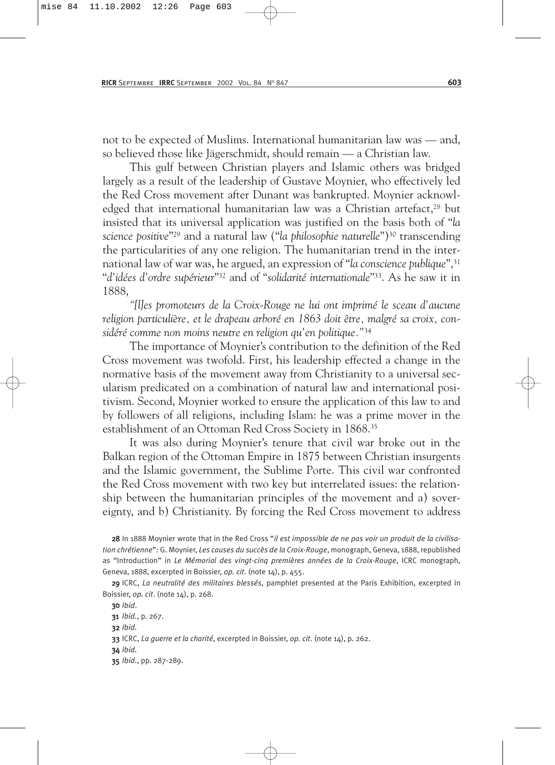not to be expected of Muslims. International humanitarian law was — and, so believed those like Jägerschmidt, should remain — a Christian law.

This gulf between Christian players and Islamic others was bridged largely as a result of the leadership of Gustave Moynier, who effectively led the Red Cross movement after Dunant was bankrupted. Moynier acknowledged that international humanitarian law was a Christian artefact.<sup>28</sup> but insisted that its universal application was justified on the basis both of "*la science positive*"29 and a natural law ("*la philosophie naturelle*")30 transcending the particularities of any one religion. The humanitarian trend in the international law of war was, he argued, an expression of "*la conscience publique*",31 "*d'idées d'ordre supérieur*"32 and of "*solidarité internationale*"33. As he saw it in 1888,

*"[l]es promoteurs de la Croix-Rouge ne lui ont imprimé le sceau d'aucune religion particulière, et le drapeau arboré en 1863 doit être, malgré sa croix, considéré comme non moins neutre en religion qu'en politique."*<sup>34</sup>

The importance of Moynier's contribution to the definition of the Red Cross movement was twofold. First, his leadership effected a change in the normative basis of the movement away from Christianity to a universal secularism predicated on a combination of natural law and international positivism. Second, Moynier worked to ensure the application of this law to and by followers of all religions, including Islam: he was a prime mover in the establishment of an Ottoman Red Cross Society in 1868.35

It was also during Moynier's tenure that civil war broke out in the Balkan region of the Ottoman Empire in 1875 between Christian insurgents and the Islamic government, the Sublime Porte. This civil war confronted the Red Cross movement with two key but interrelated issues: the relationship between the humanitarian principles of the movement and a) sovereignty, and b) Christianity. By forcing the Red Cross movement to address

29 ICRC, *La neutralité des militaires blessés*, pamphlet presented at the Paris Exhibition, excerpted in Boissier, *op. cit*. (note 14), p. 268.

35 *Ibid.*, pp. 287-289.

<sup>28</sup> In 1888 Moynier wrote that in the Red Cross "*il est impossible de ne pas voir un produit de la civilisation chrétienne*": G. Moynier, *Les causes du succès de la Croix-Rouge*, monograph, Geneva, 1888, republished as "Introduction" in *Le Mémorial des vingt-cinq premières années de la Croix-Rouge*, ICRC monograph, Geneva, 1888, excerpted in Boissier, *op. cit*. (note 14), p. 455.

<sup>30</sup> *Ibid*.

<sup>31</sup> *Ibid.*, p. 267.

<sup>32</sup> *Ibid.* 

<sup>33</sup> ICRC, *La guerre et la charité*, excerpted in Boissier, *op. cit*. (note 14), p. 262.

<sup>34</sup> *Ibid.*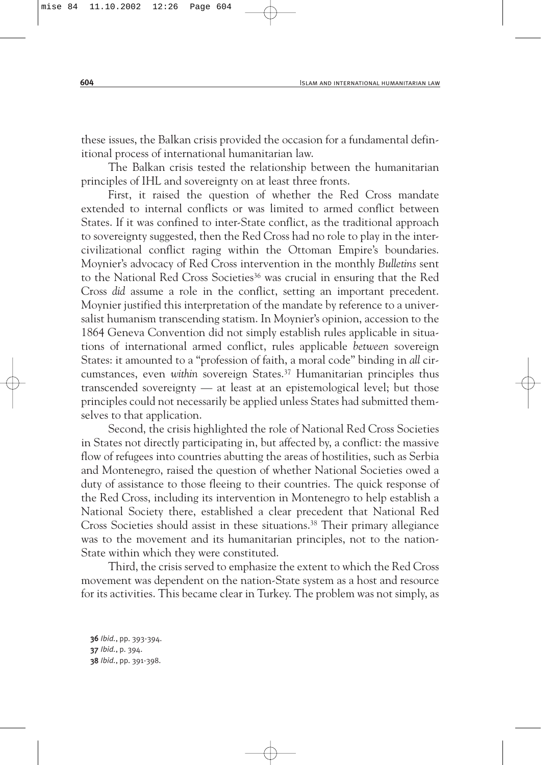these issues, the Balkan crisis provided the occasion for a fundamental definitional process of international humanitarian law.

The Balkan crisis tested the relationship between the humanitarian principles of IHL and sovereignty on at least three fronts.

First, it raised the question of whether the Red Cross mandate extended to internal conflicts or was limited to armed conflict between States. If it was confined to inter-State conflict, as the traditional approach to sovereignty suggested, then the Red Cross had no role to play in the intercivilizational conflict raging within the Ottoman Empire's boundaries. Moynier's advocacy of Red Cross intervention in the monthly *Bulletins* sent to the National Red Cross Societies<sup>36</sup> was crucial in ensuring that the Red Cross *did* assume a role in the conflict, setting an important precedent. Moynier justified this interpretation of the mandate by reference to a universalist humanism transcending statism. In Moynier's opinion, accession to the 1864 Geneva Convention did not simply establish rules applicable in situations of international armed conflict, rules applicable *between* sovereign States: it amounted to a "profession of faith, a moral code" binding in *all* circumstances, even *within* sovereign States.37 Humanitarian principles thus transcended sovereignty — at least at an epistemological level; but those principles could not necessarily be applied unless States had submitted themselves to that application.

Second, the crisis highlighted the role of National Red Cross Societies in States not directly participating in, but affected by, a conflict: the massive flow of refugees into countries abutting the areas of hostilities, such as Serbia and Montenegro, raised the question of whether National Societies owed a duty of assistance to those fleeing to their countries. The quick response of the Red Cross, including its intervention in Montenegro to help establish a National Society there, established a clear precedent that National Red Cross Societies should assist in these situations.38 Their primary allegiance was to the movement and its humanitarian principles, not to the nation-State within which they were constituted.

Third, the crisis served to emphasize the extent to which the Red Cross movement was dependent on the nation-State system as a host and resource for its activities. This became clear in Turkey. The problem was not simply, as

36 *Ibid.*, pp. 393-394. 37 *Ibid.*, p. 394. 38 *Ibid.*, pp. 391-398.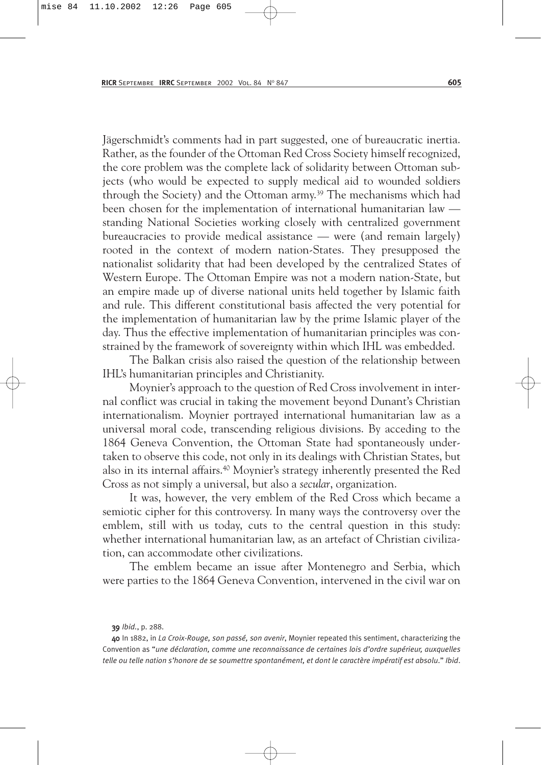Jägerschmidt's comments had in part suggested, one of bureaucratic inertia. Rather, as the founder of the Ottoman Red Cross Society himself recognized, the core problem was the complete lack of solidarity between Ottoman subjects (who would be expected to supply medical aid to wounded soldiers through the Society) and the Ottoman army.39 The mechanisms which had been chosen for the implementation of international humanitarian law standing National Societies working closely with centralized government bureaucracies to provide medical assistance — were (and remain largely) rooted in the context of modern nation-States. They presupposed the nationalist solidarity that had been developed by the centralized States of Western Europe. The Ottoman Empire was not a modern nation-State, but an empire made up of diverse national units held together by Islamic faith and rule. This different constitutional basis affected the very potential for the implementation of humanitarian law by the prime Islamic player of the day. Thus the effective implementation of humanitarian principles was constrained by the framework of sovereignty within which IHL was embedded.

The Balkan crisis also raised the question of the relationship between IHL's humanitarian principles and Christianity.

Moynier's approach to the question of Red Cross involvement in internal conflict was crucial in taking the movement beyond Dunant's Christian internationalism. Moynier portrayed international humanitarian law as a universal moral code, transcending religious divisions. By acceding to the 1864 Geneva Convention, the Ottoman State had spontaneously undertaken to observe this code, not only in its dealings with Christian States, but also in its internal affairs.40 Moynier's strategy inherently presented the Red Cross as not simply a universal, but also a *secular*, organization.

It was, however, the very emblem of the Red Cross which became a semiotic cipher for this controversy. In many ways the controversy over the emblem, still with us today, cuts to the central question in this study: whether international humanitarian law, as an artefact of Christian civilization, can accommodate other civilizations.

The emblem became an issue after Montenegro and Serbia, which were parties to the 1864 Geneva Convention, intervened in the civil war on

<sup>39</sup> *Ibid.*, p. 288.

<sup>40</sup> In 1882, in *La Croix-Rouge, son passé, son avenir*, Moynier repeated this sentiment, characterizing the Convention as "*une déclaration, comme une reconnaissance de certaines lois d'ordre supérieur, auxquelles telle ou telle nation s'honore de se soumettre spontanément, et dont le caractère impératif est absolu*." *Ibid*.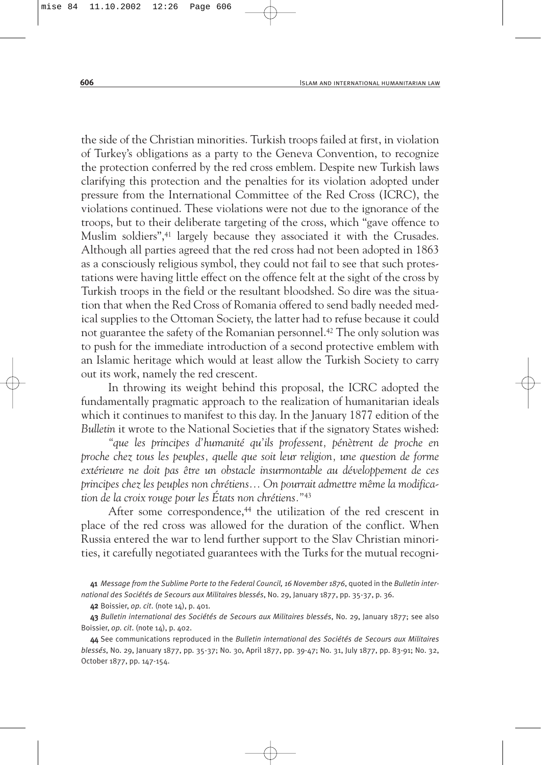the side of the Christian minorities. Turkish troops failed at first, in violation of Turkey's obligations as a party to the Geneva Convention, to recognize the protection conferred by the red cross emblem. Despite new Turkish laws clarifying this protection and the penalties for its violation adopted under pressure from the International Committee of the Red Cross (ICRC), the violations continued. These violations were not due to the ignorance of the troops, but to their deliberate targeting of the cross, which "gave offence to Muslim soldiers",41 largely because they associated it with the Crusades. Although all parties agreed that the red cross had not been adopted in 1863 as a consciously religious symbol, they could not fail to see that such protestations were having little effect on the offence felt at the sight of the cross by Turkish troops in the field or the resultant bloodshed. So dire was the situation that when the Red Cross of Romania offered to send badly needed medical supplies to the Ottoman Society, the latter had to refuse because it could not guarantee the safety of the Romanian personnel.42 The only solution was to push for the immediate introduction of a second protective emblem with an Islamic heritage which would at least allow the Turkish Society to carry out its work, namely the red crescent.

In throwing its weight behind this proposal, the ICRC adopted the fundamentally pragmatic approach to the realization of humanitarian ideals which it continues to manifest to this day. In the January 1877 edition of the *Bulletin* it wrote to the National Societies that if the signatory States wished:

*"que les principes d'humanité qu'ils professent, pénètrent de proche en proche chez tous les peuples, quelle que soit leur religion, une question de forme extérieure ne doit pas être un obstacle insurmontable au développement de ces principes chez les peuples non chrétiens… On pourrait admettre même la modification de la croix rouge pour les États non chrétiens."*<sup>43</sup>

After some correspondence,<sup>44</sup> the utilization of the red crescent in place of the red cross was allowed for the duration of the conflict. When Russia entered the war to lend further support to the Slav Christian minorities, it carefully negotiated guarantees with the Turks for the mutual recogni-

44 See communications reproduced in the *Bulletin international des Sociétés de Secours aux Militaires blessés*, No. 29, January 1877, pp. 35-37; No. 30, April 1877, pp. 39-47; No. 31, July 1877, pp. 83-91; No. 32, October 1877, pp. 147-154.

<sup>41</sup> *Message from the Sublime Porte to the Federal Council, 16 November 1876*, quoted in the *Bulletin international des Sociétés de Secours aux Militaires blessés*, No. 29, January 1877, pp. 35-37, p. 36.

<sup>42</sup> Boissier, *op. cit*. (note 14), p. 401.

<sup>43</sup> *Bulletin international des Sociétés de Secours aux Militaires blessés*, No. 29, January 1877; see also Boissier, *op. cit*. (note 14), p. 402.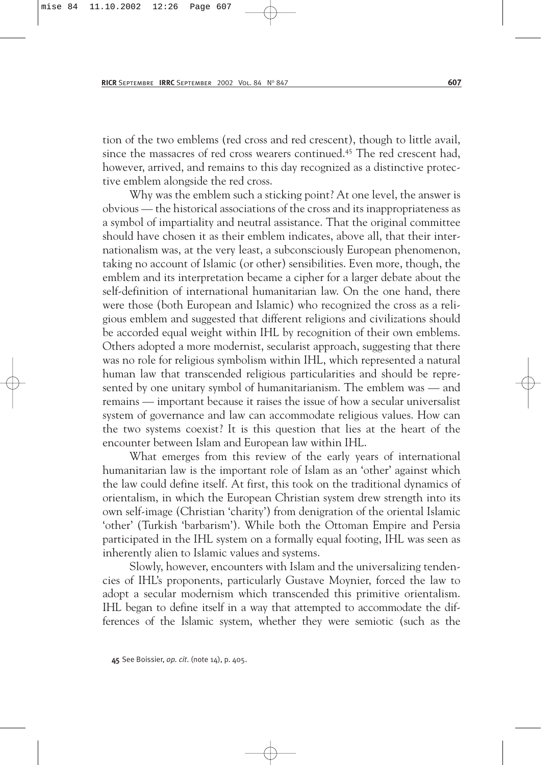tion of the two emblems (red cross and red crescent), though to little avail, since the massacres of red cross wearers continued.45 The red crescent had, however, arrived, and remains to this day recognized as a distinctive protective emblem alongside the red cross.

Why was the emblem such a sticking point? At one level, the answer is obvious — the historical associations of the cross and its inappropriateness as a symbol of impartiality and neutral assistance. That the original committee should have chosen it as their emblem indicates, above all, that their internationalism was, at the very least, a subconsciously European phenomenon, taking no account of Islamic (or other) sensibilities. Even more, though, the emblem and its interpretation became a cipher for a larger debate about the self-definition of international humanitarian law. On the one hand, there were those (both European and Islamic) who recognized the cross as a religious emblem and suggested that different religions and civilizations should be accorded equal weight within IHL by recognition of their own emblems. Others adopted a more modernist, secularist approach, suggesting that there was no role for religious symbolism within IHL, which represented a natural human law that transcended religious particularities and should be represented by one unitary symbol of humanitarianism. The emblem was — and remains — important because it raises the issue of how a secular universalist system of governance and law can accommodate religious values. How can the two systems coexist? It is this question that lies at the heart of the encounter between Islam and European law within IHL.

What emerges from this review of the early years of international humanitarian law is the important role of Islam as an 'other' against which the law could define itself. At first, this took on the traditional dynamics of orientalism, in which the European Christian system drew strength into its own self-image (Christian 'charity') from denigration of the oriental Islamic 'other' (Turkish 'barbarism'). While both the Ottoman Empire and Persia participated in the IHL system on a formally equal footing, IHL was seen as inherently alien to Islamic values and systems.

Slowly, however, encounters with Islam and the universalizing tendencies of IHL's proponents, particularly Gustave Moynier, forced the law to adopt a secular modernism which transcended this primitive orientalism. IHL began to define itself in a way that attempted to accommodate the differences of the Islamic system, whether they were semiotic (such as the

<sup>45</sup> See Boissier, *op. cit*. (note 14), p. 405.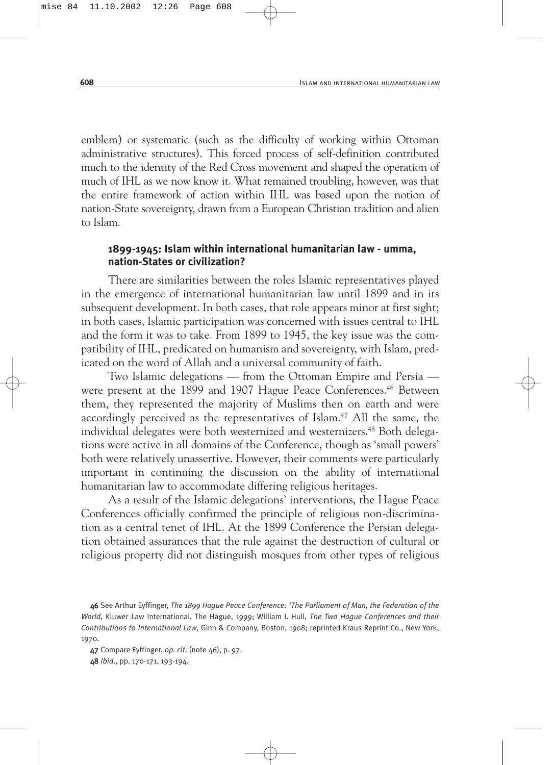emblem) or systematic (such as the difficulty of working within Ottoman administrative structures). This forced process of self-definition contributed much to the identity of the Red Cross movement and shaped the operation of much of IHL as we now know it. What remained troubling, however, was that the entire framework of action within IHL was based upon the notion of nation-State sovereignty, drawn from a European Christian tradition and alien to Islam.

#### **1899-1945: Islam within international humanitarian law - umma, nation-States or civilization?**

There are similarities between the roles Islamic representatives played in the emergence of international humanitarian law until 1899 and in its subsequent development. In both cases, that role appears minor at first sight; in both cases, Islamic participation was concerned with issues central to IHL and the form it was to take. From 1899 to 1945, the key issue was the compatibility of IHL, predicated on humanism and sovereignty, with Islam, predicated on the word of Allah and a universal community of faith.

Two Islamic delegations — from the Ottoman Empire and Persia were present at the 1899 and 1907 Hague Peace Conferences.<sup>46</sup> Between them, they represented the majority of Muslims then on earth and were accordingly perceived as the representatives of Islam.47 All the same, the individual delegates were both westernized and westernizers.<sup>48</sup> Both delegations were active in all domains of the Conference, though as 'small powers' both were relatively unassertive. However, their comments were particularly important in continuing the discussion on the ability of international humanitarian law to accommodate differing religious heritages.

As a result of the Islamic delegations' interventions, the Hague Peace Conferences officially confirmed the principle of religious non-discrimination as a central tenet of IHL. At the 1899 Conference the Persian delegation obtained assurances that the rule against the destruction of cultural or religious property did not distinguish mosques from other types of religious

<sup>46</sup> See Arthur Eyffinger, *The 1899 Hague Peace Conference: 'The Parliament of Man, the Federation of the World,* Kluwer Law International, The Hague, 1999; William I. Hull, *The Two Hague Conferences and their Contributions to International Law*, Ginn & Company, Boston, 1908; reprinted Kraus Reprint Co., New York, 1970.

<sup>47</sup> Compare Eyffinger, *op. cit*. (note 46), p. 97.

<sup>48</sup> *Ibid*., pp. 170-171, 193-194.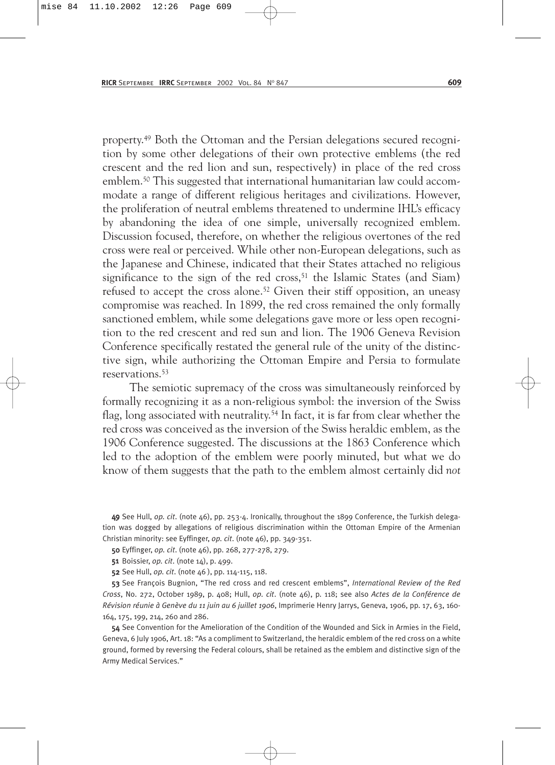property.49 Both the Ottoman and the Persian delegations secured recognition by some other delegations of their own protective emblems (the red crescent and the red lion and sun, respectively) in place of the red cross emblem.50 This suggested that international humanitarian law could accommodate a range of different religious heritages and civilizations. However, the proliferation of neutral emblems threatened to undermine IHL's efficacy by abandoning the idea of one simple, universally recognized emblem. Discussion focused, therefore, on whether the religious overtones of the red cross were real or perceived. While other non-European delegations, such as the Japanese and Chinese, indicated that their States attached no religious significance to the sign of the red cross,<sup>51</sup> the Islamic States (and Siam) refused to accept the cross alone.<sup>52</sup> Given their stiff opposition, an uneasy compromise was reached. In 1899, the red cross remained the only formally sanctioned emblem, while some delegations gave more or less open recognition to the red crescent and red sun and lion. The 1906 Geneva Revision Conference specifically restated the general rule of the unity of the distinctive sign, while authorizing the Ottoman Empire and Persia to formulate reservations.53

The semiotic supremacy of the cross was simultaneously reinforced by formally recognizing it as a non-religious symbol: the inversion of the Swiss flag, long associated with neutrality.54 In fact, it is far from clear whether the red cross was conceived as the inversion of the Swiss heraldic emblem, as the 1906 Conference suggested. The discussions at the 1863 Conference which led to the adoption of the emblem were poorly minuted, but what we do know of them suggests that the path to the emblem almost certainly did *not*

49 See Hull, *op. cit*. (note 46), pp. 253-4. Ironically, throughout the 1899 Conference, the Turkish delegation was dogged by allegations of religious discrimination within the Ottoman Empire of the Armenian Christian minority: see Eyffinger, *op. cit*. (note 46), pp. 349-351.

50 Eyffinger, *op. cit*. (note 46), pp. 268, 277-278, 279.

- 51 Boissier, *op. cit*. (note 14), p. 499.
- 52 See Hull, *op. cit*. (note 46 ), pp. 114-115, 118.

53 See François Bugnion, "The red cross and red crescent emblems", *International Review of the Red Cross*, No. 272, October 1989, p. 408; Hull, *op. cit*. (note 46), p. 118; see also *Actes de la Conférence de Révision réunie à Genève du 11 juin au 6 juillet 1906*, Imprimerie Henry Jarrys, Geneva, 1906, pp. 17, 63, 160- 164, 175, 199, 214, 260 and 286.

54 See Convention for the Amelioration of the Condition of the Wounded and Sick in Armies in the Field, Geneva, 6 July 1906, Art. 18: "As a compliment to Switzerland, the heraldic emblem of the red cross on a white ground, formed by reversing the Federal colours, shall be retained as the emblem and distinctive sign of the Army Medical Services."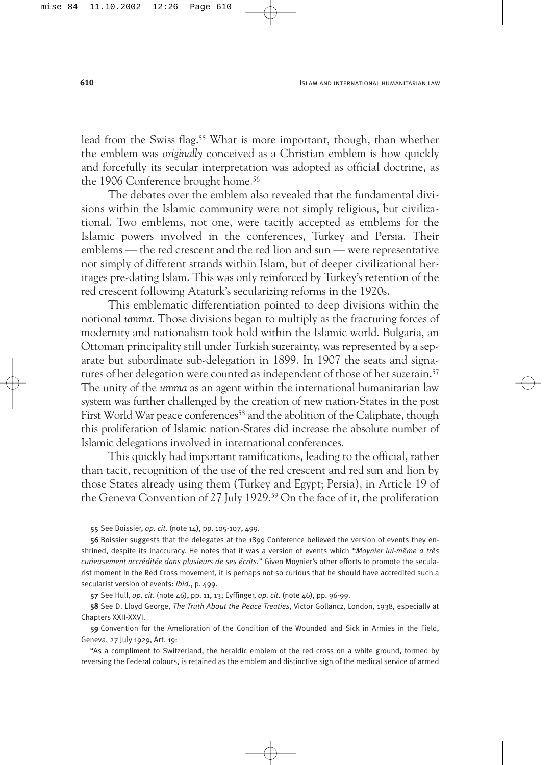lead from the Swiss flag.55 What is more important, though, than whether the emblem was *originally* conceived as a Christian emblem is how quickly and forcefully its secular interpretation was adopted as official doctrine, as the 1906 Conference brought home.<sup>56</sup>

The debates over the emblem also revealed that the fundamental divisions within the Islamic community were not simply religious, but civilizational. Two emblems, not one, were tacitly accepted as emblems for the Islamic powers involved in the conferences, Turkey and Persia. Their emblems — the red crescent and the red lion and sun — were representative not simply of different strands within Islam, but of deeper civilizational heritages pre-dating Islam. This was only reinforced by Turkey's retention of the red crescent following Ataturk's secularizing reforms in the 1920s.

This emblematic differentiation pointed to deep divisions within the notional *umma*. Those divisions began to multiply as the fracturing forces of modernity and nationalism took hold within the Islamic world. Bulgaria, an Ottoman principality still under Turkish suzerainty, was represented by a separate but subordinate sub-delegation in 1899. In 1907 the seats and signatures of her delegation were counted as independent of those of her suzerain.<sup>57</sup> The unity of the *umma* as an agent within the international humanitarian law system was further challenged by the creation of new nation-States in the post First World War peace conferences<sup>58</sup> and the abolition of the Caliphate, though this proliferation of Islamic nation-States did increase the absolute number of Islamic delegations involved in international conferences.

This quickly had important ramifications, leading to the official, rather than tacit, recognition of the use of the red crescent and red sun and lion by those States already using them (Turkey and Egypt; Persia), in Article 19 of the Geneva Convention of 27 July 1929.59 On the face of it, the proliferation

55 See Boissier, *op. cit*. (note 14), pp. 105-107, 499.

56 Boissier suggests that the delegates at the 1899 Conference believed the version of events they enshrined, despite its inaccuracy. He notes that it was a version of events which "*Moynier lui-même a très curieusement accréditée dans plusieurs de ses écrits.*" Given Moynier's other efforts to promote the secularist moment in the Red Cross movement, it is perhaps not so curious that he should have accredited such a secularist version of events: *ibid*., p. 499.

57 See Hull, *op. cit*. (note 46), pp. 11, 13; Eyffinger, *op. cit*. (note 46), pp. 96-99.

58 See D. Lloyd George, *The Truth About the Peace Treaties*, Victor Gollancz, London, 1938, especially at Chapters XXII-XXVI.

59 Convention for the Amelioration of the Condition of the Wounded and Sick in Armies in the Field, Geneva, 27 July 1929, Art. 19:

"As a compliment to Switzerland, the heraldic emblem of the red cross on a white ground, formed by reversing the Federal colours, is retained as the emblem and distinctive sign of the medical service of armed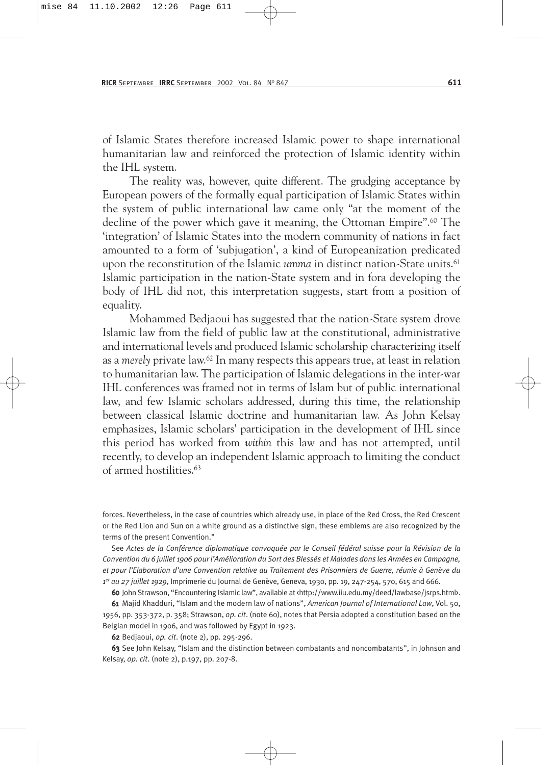of Islamic States therefore increased Islamic power to shape international humanitarian law and reinforced the protection of Islamic identity within the IHL system.

The reality was, however, quite different. The grudging acceptance by European powers of the formally equal participation of Islamic States within the system of public international law came only "at the moment of the decline of the power which gave it meaning, the Ottoman Empire".60 The 'integration' of Islamic States into the modern community of nations in fact amounted to a form of 'subjugation', a kind of Europeanization predicated upon the reconstitution of the Islamic *umma* in distinct nation-State units.<sup>61</sup> Islamic participation in the nation-State system and in fora developing the body of IHL did not, this interpretation suggests, start from a position of equality.

Mohammed Bedjaoui has suggested that the nation-State system drove Islamic law from the field of public law at the constitutional, administrative and international levels and produced Islamic scholarship characterizing itself as a *merely* private law.62 In many respects this appears true, at least in relation to humanitarian law. The participation of Islamic delegations in the inter-war IHL conferences was framed not in terms of Islam but of public international law, and few Islamic scholars addressed, during this time, the relationship between classical Islamic doctrine and humanitarian law. As John Kelsay emphasizes, Islamic scholars' participation in the development of IHL since this period has worked from *within* this law and has not attempted, until recently, to develop an independent Islamic approach to limiting the conduct of armed hostilities.63

forces. Nevertheless, in the case of countries which already use, in place of the Red Cross, the Red Crescent or the Red Lion and Sun on a white ground as a distinctive sign, these emblems are also recognized by the terms of the present Convention."

See *Actes de la Conférence diplomatique convoquée par le Conseil fédéral suisse pour la Révision de la Convention du 6 juillet 1906 pour l'Amélioration du Sort des Blessés et Malades dons les Armées en Campagne, et pour l'Elaboration d'une Convention relative au Traitement des Prisonniers de Guerre, réunie à Genève du 1er au 27 juillet 1929*, Imprimerie du Journal de Genève, Geneva, 1930, pp. 19, 247-254, 570, 615 and 666.

60 John Strawson, "Encountering Islamic law", available at <http://www.iiu.edu.my/deed/lawbase/jsrps.html>.

61 Majid Khadduri, "Islam and the modern law of nations", *American Journal of International Law*, Vol. 50, 1956, pp. 353-372, p. 358; Strawson, *op. cit*. (note 60), notes that Persia adopted a constitution based on the Belgian model in 1906, and was followed by Egypt in 1923.

62 Bedjaoui, *op. cit*. (note 2), pp. 295-296.

63 See John Kelsay, "Islam and the distinction between combatants and noncombatants", in Johnson and Kelsay, *op. cit*. (note 2), p.197, pp. 207-8.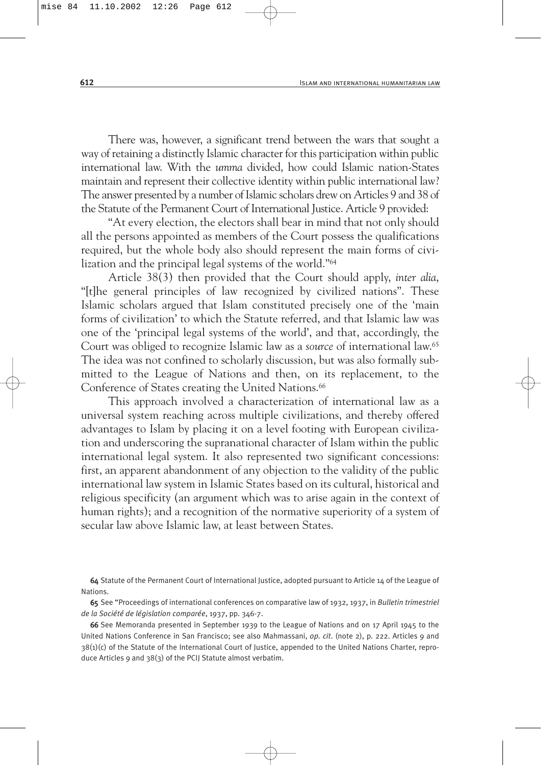There was, however, a significant trend between the wars that sought a way of retaining a distinctly Islamic character for this participation within public international law. With the *umma* divided, how could Islamic nation-States maintain and represent their collective identity within public international law? The answer presented by a number of Islamic scholars drew on Articles 9 and 38 of the Statute of the Permanent Court of International Justice. Article 9 provided:

"At every election, the electors shall bear in mind that not only should all the persons appointed as members of the Court possess the qualifications required, but the whole body also should represent the main forms of civilization and the principal legal systems of the world."64

Article 38(3) then provided that the Court should apply, *inter alia*, "[t]he general principles of law recognized by civilized nations". These Islamic scholars argued that Islam constituted precisely one of the 'main forms of civilization' to which the Statute referred, and that Islamic law was one of the 'principal legal systems of the world', and that, accordingly, the Court was obliged to recognize Islamic law as a *source* of international law.65 The idea was not confined to scholarly discussion, but was also formally submitted to the League of Nations and then, on its replacement, to the Conference of States creating the United Nations.<sup>66</sup>

This approach involved a characterization of international law as a universal system reaching across multiple civilizations, and thereby offered advantages to Islam by placing it on a level footing with European civilization and underscoring the supranational character of Islam within the public international legal system. It also represented two significant concessions: first, an apparent abandonment of any objection to the validity of the public international law system in Islamic States based on its cultural, historical and religious specificity (an argument which was to arise again in the context of human rights); and a recognition of the normative superiority of a system of secular law above Islamic law, at least between States.

64 Statute of the Permanent Court of International Justice, adopted pursuant to Article 14 of the League of Nations.

65 See "Proceedings of international conferences on comparative law of 1932, 1937, in *Bulletin trimestriel de la Société de législation comparée*, 1937, pp. 346-7.

66 See Memoranda presented in September 1939 to the League of Nations and on 17 April 1945 to the United Nations Conference in San Francisco; see also Mahmassani, *op. cit*. (note 2), p. 222. Articles 9 and 38(1)(c) of the Statute of the International Court of Justice, appended to the United Nations Charter, reproduce Articles 9 and 38(3) of the PCIJ Statute almost verbatim.

**612**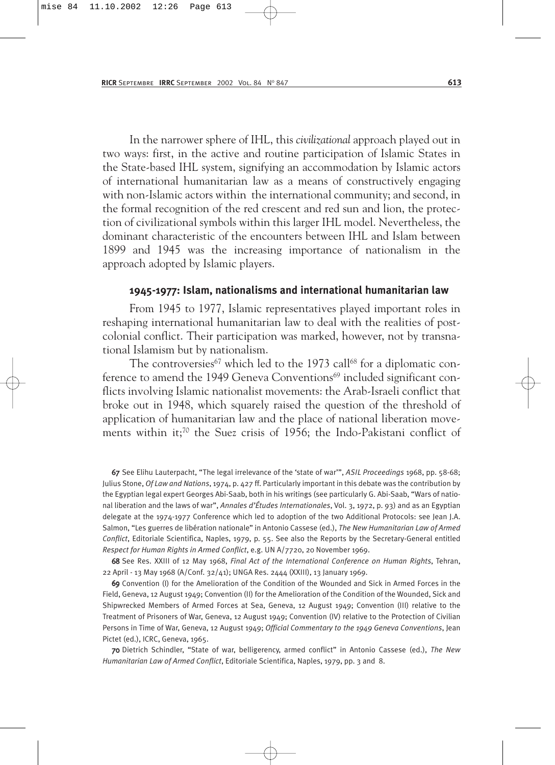In the narrower sphere of IHL, this *civilizational* approach played out in two ways: first, in the active and routine participation of Islamic States in the State-based IHL system, signifying an accommodation by Islamic actors of international humanitarian law as a means of constructively engaging with non-Islamic actors within the international community; and second, in the formal recognition of the red crescent and red sun and lion, the protection of civilizational symbols within this larger IHL model. Nevertheless, the dominant characteristic of the encounters between IHL and Islam between 1899 and 1945 was the increasing importance of nationalism in the approach adopted by Islamic players.

#### **1945-1977: Islam, nationalisms and international humanitarian law**

From 1945 to 1977, Islamic representatives played important roles in reshaping international humanitarian law to deal with the realities of postcolonial conflict. Their participation was marked, however, not by transnational Islamism but by nationalism.

The controversies<sup>67</sup> which led to the 1973 call<sup>68</sup> for a diplomatic conference to amend the 1949 Geneva Conventions<sup>69</sup> included significant conflicts involving Islamic nationalist movements: the Arab-Israeli conflict that broke out in 1948, which squarely raised the question of the threshold of application of humanitarian law and the place of national liberation movements within it;<sup>70</sup> the Suez crisis of 1956; the Indo-Pakistani conflict of

67 See Elihu Lauterpacht, "The legal irrelevance of the 'state of war'", *ASIL Proceedings* 1968, pp. 58-68; Julius Stone, *Of Law and Nations*, 1974, p. 427 ff. Particularly important in this debate was the contribution by the Egyptian legal expert Georges Abi-Saab, both in his writings (see particularly G. Abi-Saab, "Wars of national liberation and the laws of war", *Annales d'Études Internationales*, Vol. 3, 1972, p. 93) and as an Egyptian delegate at the 1974-1977 Conference which led to adoption of the two Additional Protocols: see Jean J.A. Salmon, "Les guerres de libération nationale" in Antonio Cassese (ed.), *The New Humanitarian Law of Armed Conflict*, Editoriale Scientifica, Naples, 1979, p. 55. See also the Reports by the Secretary-General entitled *Respect for Human Rights in Armed Conflict*, e.g. UN A/7720, 20 November 1969.

68 See Res. XXIII of 12 May 1968, *Final Act of the International Conference on Human Rights*, Tehran, 22 April - 13 May 1968 (A/Conf. 32/41); UNGA Res. 2444 (XXIII), 13 January 1969.

69 Convention (I) for the Amelioration of the Condition of the Wounded and Sick in Armed Forces in the Field, Geneva, 12 August 1949; Convention (II) for the Amelioration of the Condition of the Wounded, Sick and Shipwrecked Members of Armed Forces at Sea, Geneva, 12 August 1949; Convention (III) relative to the Treatment of Prisoners of War, Geneva, 12 August 1949; Convention (IV) relative to the Protection of Civilian Persons in Time of War, Geneva, 12 August 1949; *Official Commentary to the 1949 Geneva Conventions*, Jean Pictet (ed.), ICRC, Geneva, 1965.

70 Dietrich Schindler, "State of war, belligerency, armed conflict" in Antonio Cassese (ed.), *The New Humanitarian Law of Armed Conflict*, Editoriale Scientifica, Naples, 1979, pp. 3 and 8.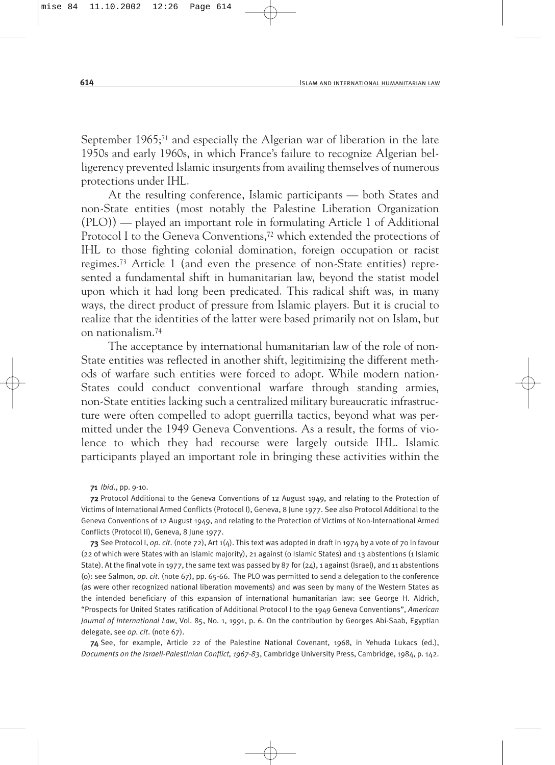September 1965;<sup>71</sup> and especially the Algerian war of liberation in the late 1950s and early 1960s, in which France's failure to recognize Algerian belligerency prevented Islamic insurgents from availing themselves of numerous protections under IHL.

At the resulting conference, Islamic participants — both States and non-State entities (most notably the Palestine Liberation Organization (PLO)) — played an important role in formulating Article 1 of Additional Protocol I to the Geneva Conventions,<sup>72</sup> which extended the protections of IHL to those fighting colonial domination, foreign occupation or racist regimes.73 Article 1 (and even the presence of non-State entities) represented a fundamental shift in humanitarian law, beyond the statist model upon which it had long been predicated. This radical shift was, in many ways, the direct product of pressure from Islamic players. But it is crucial to realize that the identities of the latter were based primarily not on Islam, but on nationalism.74

The acceptance by international humanitarian law of the role of non-State entities was reflected in another shift, legitimizing the different methods of warfare such entities were forced to adopt. While modern nation-States could conduct conventional warfare through standing armies, non-State entities lacking such a centralized military bureaucratic infrastructure were often compelled to adopt guerrilla tactics, beyond what was permitted under the 1949 Geneva Conventions. As a result, the forms of violence to which they had recourse were largely outside IHL. Islamic participants played an important role in bringing these activities within the

71 *Ibid*., pp. 9-10.

72 Protocol Additional to the Geneva Conventions of 12 August 1949, and relating to the Protection of Victims of International Armed Conflicts (Protocol I), Geneva, 8 June 1977. See also Protocol Additional to the Geneva Conventions of 12 August 1949, and relating to the Protection of Victims of Non-International Armed Conflicts (Protocol II), Geneva, 8 June 1977.

73 See Protocol I, *op. cit*. (note 72), Art 1(4). This text was adopted in draft in 1974 by a vote of 70 in favour (22 of which were States with an Islamic majority), 21 against (0 Islamic States) and 13 abstentions (1 Islamic State). At the final vote in 1977, the same text was passed by 87 for  $(24)$ , 1 against (Israel), and 11 abstentions (0): see Salmon, *op. cit*. (note 67), pp. 65-66. The PLO was permitted to send a delegation to the conference (as were other recognized national liberation movements) and was seen by many of the Western States as the intended beneficiary of this expansion of international humanitarian law: see George H. Aldrich, "Prospects for United States ratification of Additional Protocol I to the 1949 Geneva Conventions", *American Journal of International Law*, Vol. 85, No. 1, 1991, p. 6. On the contribution by Georges Abi-Saab, Egyptian delegate, see *op. cit*. (note 67).

74 See, for example, Article 22 of the Palestine National Covenant, 1968, in Yehuda Lukacs (ed.), *Documents on the Israeli-Palestinian Conflict, 1967-83*, Cambridge University Press, Cambridge, 1984, p. 142.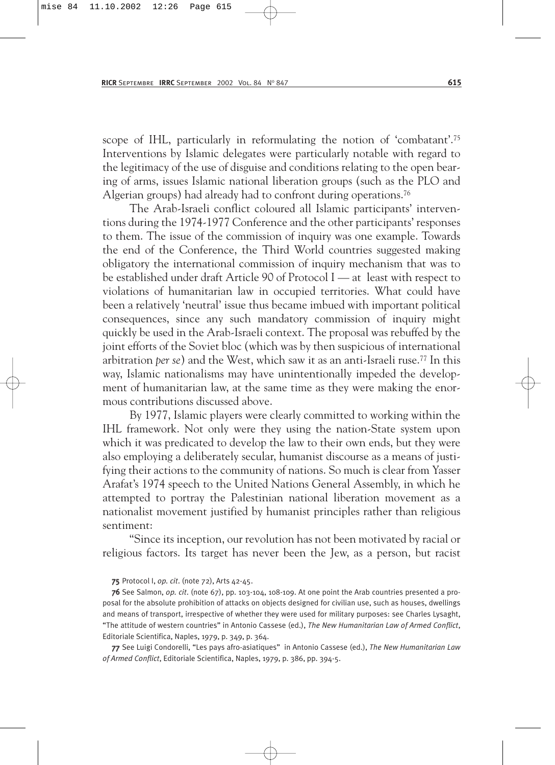scope of IHL, particularly in reformulating the notion of 'combatant'.75 Interventions by Islamic delegates were particularly notable with regard to the legitimacy of the use of disguise and conditions relating to the open bearing of arms, issues Islamic national liberation groups (such as the PLO and Algerian groups) had already had to confront during operations.<sup>76</sup>

The Arab-Israeli conflict coloured all Islamic participants' interventions during the 1974-1977 Conference and the other participants' responses to them. The issue of the commission of inquiry was one example. Towards the end of the Conference, the Third World countries suggested making obligatory the international commission of inquiry mechanism that was to be established under draft Article 90 of Protocol I — at least with respect to violations of humanitarian law in occupied territories. What could have been a relatively 'neutral' issue thus became imbued with important political consequences, since any such mandatory commission of inquiry might quickly be used in the Arab-Israeli context. The proposal was rebuffed by the joint efforts of the Soviet bloc (which was by then suspicious of international arbitration *per se*) and the West, which saw it as an anti-Israeli ruse.77 In this way, Islamic nationalisms may have unintentionally impeded the development of humanitarian law, at the same time as they were making the enormous contributions discussed above.

By 1977, Islamic players were clearly committed to working within the IHL framework. Not only were they using the nation-State system upon which it was predicated to develop the law to their own ends, but they were also employing a deliberately secular, humanist discourse as a means of justifying their actions to the community of nations. So much is clear from Yasser Arafat's 1974 speech to the United Nations General Assembly, in which he attempted to portray the Palestinian national liberation movement as a nationalist movement justified by humanist principles rather than religious sentiment:

"Since its inception, our revolution has not been motivated by racial or religious factors. Its target has never been the Jew, as a person, but racist

75 Protocol I, *op. cit*. (note 72), Arts 42-45.

76 See Salmon, *op. cit*. (note 67), pp. 103-104, 108-109. At one point the Arab countries presented a proposal for the absolute prohibition of attacks on objects designed for civilian use, such as houses, dwellings and means of transport, irrespective of whether they were used for military purposes: see Charles Lysaght, "The attitude of western countries" in Antonio Cassese (ed.), *The New Humanitarian Law of Armed Conflict*, Editoriale Scientifica, Naples, 1979, p. 349, p. 364.

77 See Luigi Condorelli, "Les pays afro-asiatiques" in Antonio Cassese (ed.), *The New Humanitarian Law of Armed Conflict*, Editoriale Scientifica, Naples, 1979, p. 386, pp. 394-5.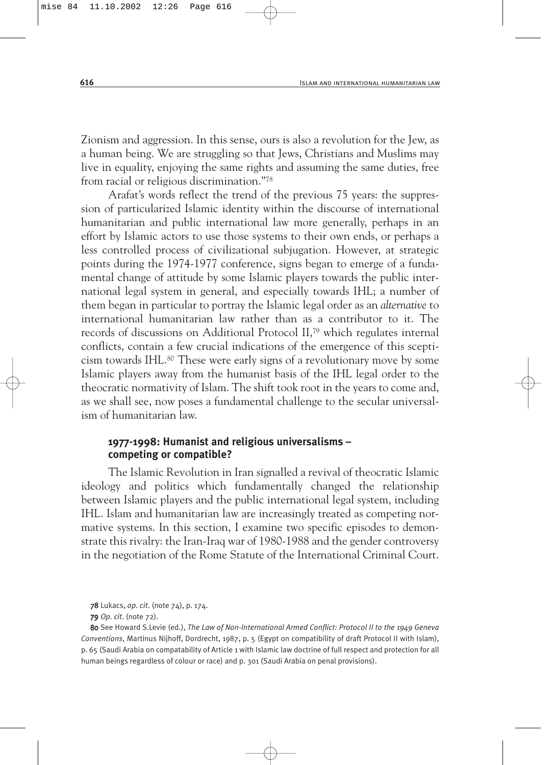Zionism and aggression. In this sense, ours is also a revolution for the Jew, as a human being. We are struggling so that Jews, Christians and Muslims may live in equality, enjoying the same rights and assuming the same duties, free from racial or religious discrimination."78

Arafat's words reflect the trend of the previous 75 years: the suppression of particularized Islamic identity within the discourse of international humanitarian and public international law more generally, perhaps in an effort by Islamic actors to use those systems to their own ends, or perhaps a less controlled process of civilizational subjugation. However, at strategic points during the 1974-1977 conference, signs began to emerge of a fundamental change of attitude by some Islamic players towards the public international legal system in general, and especially towards IHL; a number of them began in particular to portray the Islamic legal order as an *alternative* to international humanitarian law rather than as a contributor to it. The records of discussions on Additional Protocol II,79 which regulates internal conflicts, contain a few crucial indications of the emergence of this scepticism towards IHL.80 These were early signs of a revolutionary move by some Islamic players away from the humanist basis of the IHL legal order to the theocratic normativity of Islam. The shift took root in the years to come and, as we shall see, now poses a fundamental challenge to the secular universalism of humanitarian law.

## **1977-1998: Humanist and religious universalisms – competing or compatible?**

The Islamic Revolution in Iran signalled a revival of theocratic Islamic ideology and politics which fundamentally changed the relationship between Islamic players and the public international legal system, including IHL. Islam and humanitarian law are increasingly treated as competing normative systems. In this section, I examine two specific episodes to demonstrate this rivalry: the Iran-Iraq war of 1980-1988 and the gender controversy in the negotiation of the Rome Statute of the International Criminal Court.

<sup>78</sup> Lukacs, *op. cit*. (note 74), p. 174.

<sup>79</sup> *Op. cit*. (note 72).

<sup>80</sup> See Howard S.Levie (ed.), *The Law of Non-International Armed Conflict: Protocol II to the 1949 Geneva Conventions*, Martinus Nijhoff, Dordrecht, 1987, p. 5 (Egypt on compatibility of draft Protocol II with Islam), p. 65 (Saudi Arabia on compatability of Article 1 with Islamic law doctrine of full respect and protection for all human beings regardless of colour or race) and p. 301 (Saudi Arabia on penal provisions).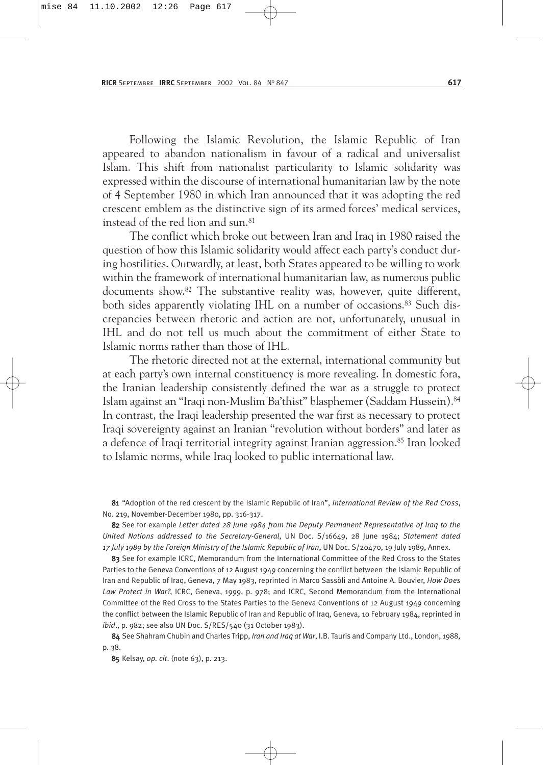Following the Islamic Revolution, the Islamic Republic of Iran appeared to abandon nationalism in favour of a radical and universalist Islam. This shift from nationalist particularity to Islamic solidarity was expressed within the discourse of international humanitarian law by the note of 4 September 1980 in which Iran announced that it was adopting the red crescent emblem as the distinctive sign of its armed forces' medical services, instead of the red lion and sun.81

The conflict which broke out between Iran and Iraq in 1980 raised the question of how this Islamic solidarity would affect each party's conduct during hostilities. Outwardly, at least, both States appeared to be willing to work within the framework of international humanitarian law, as numerous public documents show.82 The substantive reality was, however, quite different, both sides apparently violating IHL on a number of occasions.<sup>83</sup> Such discrepancies between rhetoric and action are not, unfortunately, unusual in IHL and do not tell us much about the commitment of either State to Islamic norms rather than those of IHL.

The rhetoric directed not at the external, international community but at each party's own internal constituency is more revealing. In domestic fora, the Iranian leadership consistently defined the war as a struggle to protect Islam against an "Iraqi non-Muslim Ba'thist" blasphemer (Saddam Hussein).84 In contrast, the Iraqi leadership presented the war first as necessary to protect Iraqi sovereignty against an Iranian "revolution without borders" and later as a defence of Iraqi territorial integrity against Iranian aggression.<sup>85</sup> Iran looked to Islamic norms, while Iraq looked to public international law.

81 "Adoption of the red crescent by the Islamic Republic of Iran", *International Review of the Red Cross*, No. 219, November-December 1980, pp. 316-317.

82 See for example *Letter dated 28 June 1984 from the Deputy Permanent Representative of Iraq to the United Nations addressed to the Secretary-General*, UN Doc. S/16649, 28 June 1984; *Statement dated 17 July 1989 by the Foreign Ministry of the Islamic Republic of Iran*, UN Doc. S/20470, 19 July 1989, Annex.

83 See for example ICRC, Memorandum from the International Committee of the Red Cross to the States Parties to the Geneva Conventions of 12 August 1949 concerning the conflict between the Islamic Republic of Iran and Republic of Iraq, Geneva, 7 May 1983, reprinted in Marco Sassòli and Antoine A. Bouvier, *How Does Law Protect in War?*, ICRC, Geneva, 1999, p. 978; and ICRC, Second Memorandum from the International Committee of the Red Cross to the States Parties to the Geneva Conventions of 12 August 1949 concerning the conflict between the Islamic Republic of Iran and Republic of Iraq, Geneva, 10 February 1984, reprinted in *ibid*., p. 982; see also UN Doc. S/RES/540 (31 October 1983).

84 See Shahram Chubin and Charles Tripp, *Iran and Iraq at War*, I.B. Tauris and Company Ltd., London, 1988, p. 38.

85 Kelsay, *op. cit*. (note 63), p. 213.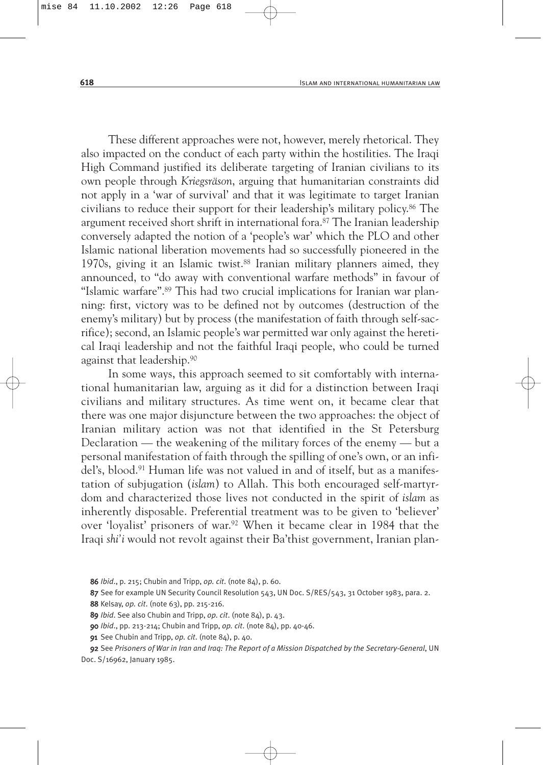These different approaches were not, however, merely rhetorical. They also impacted on the conduct of each party within the hostilities. The Iraqi High Command justified its deliberate targeting of Iranian civilians to its own people through *Kriegsräson*, arguing that humanitarian constraints did not apply in a 'war of survival' and that it was legitimate to target Iranian civilians to reduce their support for their leadership's military policy.86 The argument received short shrift in international fora.87 The Iranian leadership conversely adapted the notion of a 'people's war' which the PLO and other Islamic national liberation movements had so successfully pioneered in the 1970s, giving it an Islamic twist.88 Iranian military planners aimed, they announced, to "do away with conventional warfare methods" in favour of "Islamic warfare".89 This had two crucial implications for Iranian war planning: first, victory was to be defined not by outcomes (destruction of the enemy's military) but by process (the manifestation of faith through self-sacrifice); second, an Islamic people's war permitted war only against the heretical Iraqi leadership and not the faithful Iraqi people, who could be turned against that leadership.90

In some ways, this approach seemed to sit comfortably with international humanitarian law, arguing as it did for a distinction between Iraqi civilians and military structures. As time went on, it became clear that there was one major disjuncture between the two approaches: the object of Iranian military action was not that identified in the St Petersburg Declaration — the weakening of the military forces of the enemy — but a personal manifestation of faith through the spilling of one's own, or an infidel's, blood.<sup>91</sup> Human life was not valued in and of itself, but as a manifestation of subjugation (*islam*) to Allah. This both encouraged self-martyrdom and characterized those lives not conducted in the spirit of *islam* as inherently disposable. Preferential treatment was to be given to 'believer' over 'loyalist' prisoners of war.92 When it became clear in 1984 that the Iraqi *shi'i* would not revolt against their Ba'thist government, Iranian plan-

86 *Ibid*., p. 215; Chubin and Tripp, *op. cit*. (note 84), p. 60.

87 See for example UN Security Council Resolution 543, UN Doc. S/RES/543, 31 October 1983, para. 2.

88 Kelsay, *op. cit*. (note 63), pp. 215-216.

89 *Ibid*. See also Chubin and Tripp, *op. cit*. (note 84), p. 43.

90 *Ibid*., pp. 213-214; Chubin and Tripp, *op. cit*. (note 84), pp. 40-46.

91 See Chubin and Tripp, *op. cit*. (note 84), p. 40.

92 See *Prisoners of War in Iran and Iraq: The Report of a Mission Dispatched by the Secretary-General*, UN Doc. S/16962, January 1985.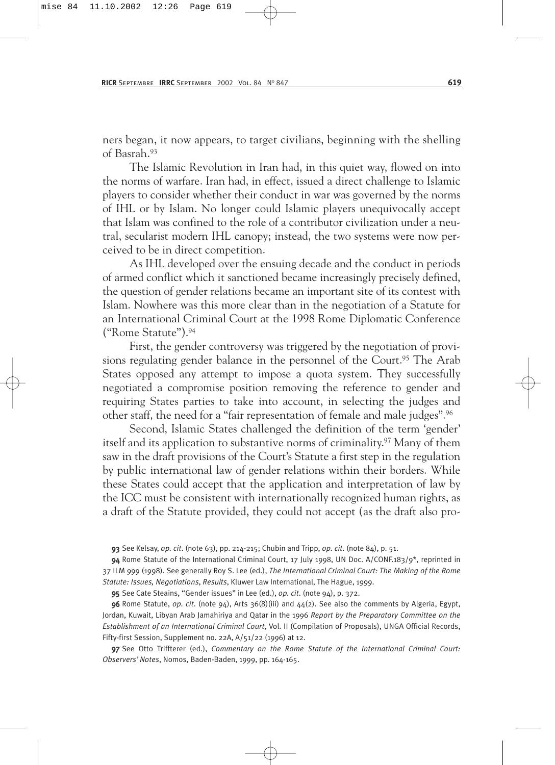ners began, it now appears, to target civilians, beginning with the shelling of Basrah.93

The Islamic Revolution in Iran had, in this quiet way, flowed on into the norms of warfare. Iran had, in effect, issued a direct challenge to Islamic players to consider whether their conduct in war was governed by the norms of IHL or by Islam. No longer could Islamic players unequivocally accept that Islam was confined to the role of a contributor civilization under a neutral, secularist modern IHL canopy; instead, the two systems were now perceived to be in direct competition.

As IHL developed over the ensuing decade and the conduct in periods of armed conflict which it sanctioned became increasingly precisely defined, the question of gender relations became an important site of its contest with Islam. Nowhere was this more clear than in the negotiation of a Statute for an International Criminal Court at the 1998 Rome Diplomatic Conference ("Rome Statute").94

First, the gender controversy was triggered by the negotiation of provisions regulating gender balance in the personnel of the Court.<sup>95</sup> The Arab States opposed any attempt to impose a quota system. They successfully negotiated a compromise position removing the reference to gender and requiring States parties to take into account, in selecting the judges and other staff, the need for a "fair representation of female and male judges".96

Second, Islamic States challenged the definition of the term 'gender' itself and its application to substantive norms of criminality.97 Many of them saw in the draft provisions of the Court's Statute a first step in the regulation by public international law of gender relations within their borders. While these States could accept that the application and interpretation of law by the ICC must be consistent with internationally recognized human rights, as a draft of the Statute provided, they could not accept (as the draft also pro-

93 See Kelsay, *op. cit*. (note 63), pp. 214-215; Chubin and Tripp, *op. cit*. (note 84), p. 51.

94 Rome Statute of the International Criminal Court, 17 July 1998, UN Doc. A/CONF.183/9\*, reprinted in 37 ILM 999 (1998). See generally Roy S. Lee (ed.), *The International Criminal Court: The Making of the Rome Statute: Issues, Negotiations*, *Results*, Kluwer Law International, The Hague, 1999.

95 See Cate Steains, "Gender issues" in Lee (ed.), *op. cit*. (note 94), p. 372.

96 Rome Statute, *op. cit*. (note 94), Arts 36(8)(iii) and 44(2). See also the comments by Algeria, Egypt, Jordan, Kuwait, Libyan Arab Jamahiriya and Qatar in the 1996 *Report by the Preparatory Committee on the Establishment of an International Criminal Court*, Vol. II (Compilation of Proposals), UNGA Official Records, Fifty-first Session, Supplement no. 22A, A/51/22 (1996) at 12.

97 See Otto Triffterer (ed.), *Commentary on the Rome Statute of the International Criminal Court: Observers' Notes*, Nomos, Baden-Baden, 1999, pp. 164-165.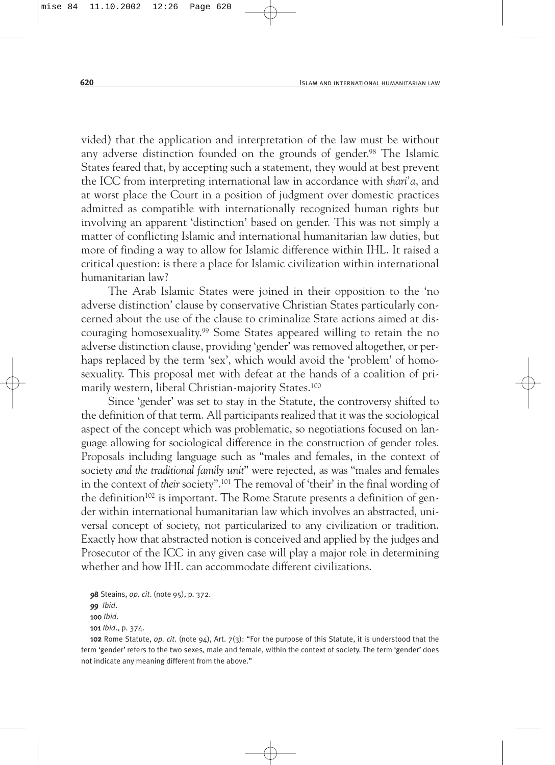vided) that the application and interpretation of the law must be without any adverse distinction founded on the grounds of gender.<sup>98</sup> The Islamic States feared that, by accepting such a statement, they would at best prevent the ICC from interpreting international law in accordance with *shari'a*, and at worst place the Court in a position of judgment over domestic practices admitted as compatible with internationally recognized human rights but involving an apparent 'distinction' based on gender. This was not simply a matter of conflicting Islamic and international humanitarian law duties, but more of finding a way to allow for Islamic difference within IHL. It raised a critical question: is there a place for Islamic civilization within international humanitarian law?

The Arab Islamic States were joined in their opposition to the 'no adverse distinction' clause by conservative Christian States particularly concerned about the use of the clause to criminalize State actions aimed at discouraging homosexuality.99 Some States appeared willing to retain the no adverse distinction clause, providing 'gender' was removed altogether, or perhaps replaced by the term 'sex', which would avoid the 'problem' of homosexuality. This proposal met with defeat at the hands of a coalition of primarily western, liberal Christian-majority States.<sup>100</sup>

Since 'gender' was set to stay in the Statute, the controversy shifted to the definition of that term. All participants realized that it was the sociological aspect of the concept which was problematic, so negotiations focused on language allowing for sociological difference in the construction of gender roles. Proposals including language such as "males and females, in the context of society *and the traditional family unit*" were rejected, as was "males and females in the context of *their* society".101 The removal of 'their' in the final wording of the definition<sup>102</sup> is important. The Rome Statute presents a definition of gender within international humanitarian law which involves an abstracted, universal concept of society, not particularized to any civilization or tradition. Exactly how that abstracted notion is conceived and applied by the judges and Prosecutor of the ICC in any given case will play a major role in determining whether and how IHL can accommodate different civilizations.

98 Steains, *op. cit*. (note 95), p. 372.

101 *Ibid*., p. 374.

102 Rome Statute, *op. cit*. (note 94), Art. 7(3): "For the purpose of this Statute, it is understood that the term 'gender' refers to the two sexes, male and female, within the context of society. The term 'gender' does not indicate any meaning different from the above."

<sup>99</sup> *Ibid*.

<sup>100</sup> *Ibid*.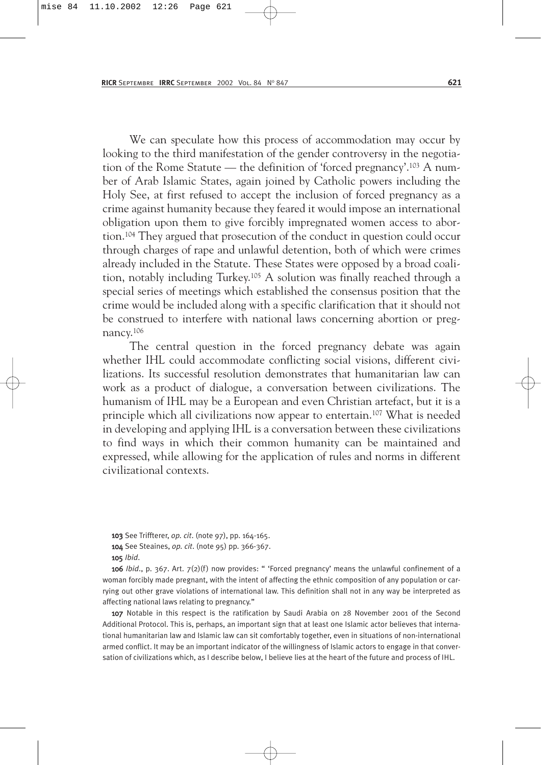We can speculate how this process of accommodation may occur by looking to the third manifestation of the gender controversy in the negotiation of the Rome Statute — the definition of 'forced pregnancy'.103 A number of Arab Islamic States, again joined by Catholic powers including the Holy See, at first refused to accept the inclusion of forced pregnancy as a crime against humanity because they feared it would impose an international obligation upon them to give forcibly impregnated women access to abortion.104 They argued that prosecution of the conduct in question could occur through charges of rape and unlawful detention, both of which were crimes already included in the Statute. These States were opposed by a broad coalition, notably including Turkey.105 A solution was finally reached through a special series of meetings which established the consensus position that the crime would be included along with a specific clarification that it should not be construed to interfere with national laws concerning abortion or pregnancy.106

The central question in the forced pregnancy debate was again whether IHL could accommodate conflicting social visions, different civilizations. Its successful resolution demonstrates that humanitarian law can work as a product of dialogue, a conversation between civilizations. The humanism of IHL may be a European and even Christian artefact, but it is a principle which all civilizations now appear to entertain.107 What is needed in developing and applying IHL is a conversation between these civilizations to find ways in which their common humanity can be maintained and expressed, while allowing for the application of rules and norms in different civilizational contexts.

103 See Triffterer, *op. cit*. (note 97), pp. 164-165.

104 See Steaines, *op. cit*. (note 95) pp. 366-367.

106 *Ibid.*, p. 367. Art. 7(2)(f) now provides: " 'Forced pregnancy' means the unlawful confinement of a woman forcibly made pregnant, with the intent of affecting the ethnic composition of any population or carrying out other grave violations of international law. This definition shall not in any way be interpreted as affecting national laws relating to pregnancy."

107 Notable in this respect is the ratification by Saudi Arabia on 28 November 2001 of the Second Additional Protocol. This is, perhaps, an important sign that at least one Islamic actor believes that international humanitarian law and Islamic law can sit comfortably together, even in situations of non-international armed conflict. It may be an important indicator of the willingness of Islamic actors to engage in that conversation of civilizations which, as I describe below, I believe lies at the heart of the future and process of IHL.

<sup>105</sup> *Ibid*.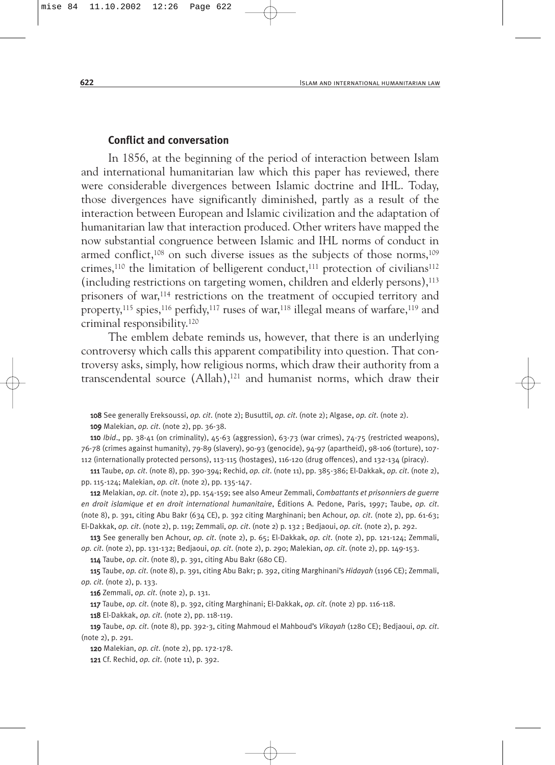#### **Conflict and conversation**

In 1856, at the beginning of the period of interaction between Islam and international humanitarian law which this paper has reviewed, there were considerable divergences between Islamic doctrine and IHL. Today, those divergences have significantly diminished, partly as a result of the interaction between European and Islamic civilization and the adaptation of humanitarian law that interaction produced. Other writers have mapped the now substantial congruence between Islamic and IHL norms of conduct in armed conflict,<sup>108</sup> on such diverse issues as the subjects of those norms,<sup>109</sup> crimes,<sup>110</sup> the limitation of belligerent conduct,<sup>111</sup> protection of civilians<sup>112</sup> (including restrictions on targeting women, children and elderly persons), $^{113}$ prisoners of war,<sup>114</sup> restrictions on the treatment of occupied territory and property,<sup>115</sup> spies,<sup>116</sup> perfidy,<sup>117</sup> ruses of war,<sup>118</sup> illegal means of warfare,<sup>119</sup> and criminal responsibility.120

The emblem debate reminds us, however, that there is an underlying controversy which calls this apparent compatibility into question. That controversy asks, simply, how religious norms, which draw their authority from a transcendental source (Allah),121 and humanist norms, which draw their

108 See generally Ereksoussi, *op. cit*. (note 2); Busuttil, *op. cit*. (note 2); Algase, *op. cit*. (note 2).

110 *Ibid*., pp. 38-41 (on criminality), 45-63 (aggression), 63-73 (war crimes), 74-75 (restricted weapons), 76-78 (crimes against humanity), 79-89 (slavery), 90-93 (genocide), 94-97 (apartheid), 98-106 (torture), 107- 112 (internationally protected persons), 113-115 (hostages), 116-120 (drug offences), and 132-134 (piracy).

111 Taube, *op. cit*. (note 8), pp. 390-394; Rechid, *op. cit*. (note 11), pp. 385-386; El-Dakkak, *op. cit*. (note 2), pp. 115-124; Malekian, *op. cit*. (note 2), pp. 135-147.

112 Melakian, *op. cit*. (note 2), pp. 154-159; see also Ameur Zemmali, *Combattants et prisonniers de guerre en droit islamique et en droit international humanitaire*, Éditions A. Pedone, Paris, 1997; Taube, *op. cit*. (note 8), p. 391, citing Abu Bakr (634 CE), p. 392 citing Marghinani; ben Achour, *op. cit*. (note 2), pp. 61-63; El-Dakkak, *op. cit*. (note 2), p. 119; Zemmali, *op. cit*. (note 2) p. 132 ; Bedjaoui, *op. cit*. (note 2), p. 292.

113 See generally ben Achour, *op. cit*. (note 2), p. 65; El-Dakkak, *op. cit*. (note 2), pp. 121-124; Zemmali, *op. cit*. (note 2), pp. 131-132; Bedjaoui, *op. cit*. (note 2), p. 290; Malekian, *op. cit*. (note 2), pp. 149-153.

114 Taube, *op. cit*. (note 8), p. 391, citing Abu Bakr (680 CE).

115 Taube, *op. cit*. (note 8), p. 391, citing Abu Bakr; p. 392, citing Marghinani's *Hidayah* (1196 CE); Zemmali, *op. cit*. (note 2), p. 133.

116 Zemmali, *op. cit*. (note 2), p. 131.

117 Taube, *op. cit*. (note 8), p. 392, citing Marghinani; El-Dakkak, *op. cit*. (note 2) pp. 116-118.

118 El-Dakkak, *op. cit*. (note 2), pp. 118-119.

119 Taube, *op. cit*. (note 8), pp. 392-3, citing Mahmoud el Mahboud's *Vikayah* (1280 CE); Bedjaoui, *op. cit*. (note 2), p. 291.

120 Malekian, *op. cit*. (note 2), pp. 172-178.

121 Cf. Rechid, *op. cit*. (note 11), p. 392.

<sup>109</sup> Malekian, *op. cit*. (note 2), pp. 36-38.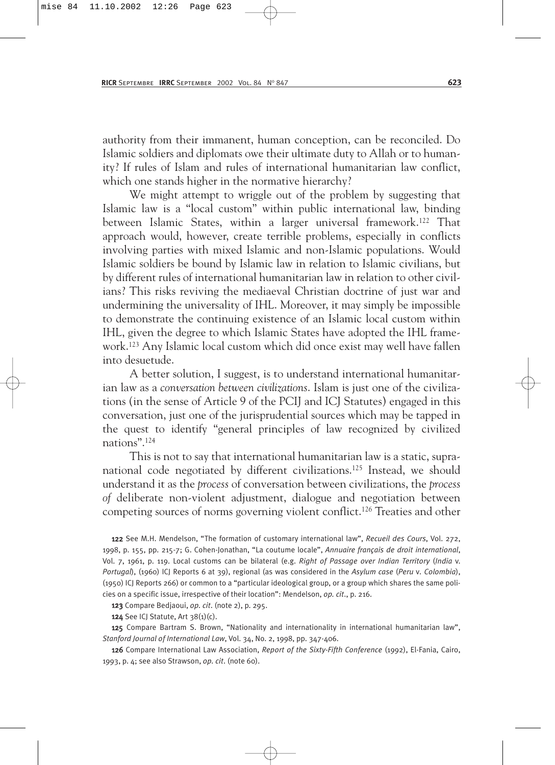authority from their immanent, human conception, can be reconciled. Do Islamic soldiers and diplomats owe their ultimate duty to Allah or to humanity? If rules of Islam and rules of international humanitarian law conflict, which one stands higher in the normative hierarchy?

We might attempt to wriggle out of the problem by suggesting that Islamic law is a "local custom" within public international law, binding between Islamic States, within a larger universal framework.122 That approach would, however, create terrible problems, especially in conflicts involving parties with mixed Islamic and non-Islamic populations. Would Islamic soldiers be bound by Islamic law in relation to Islamic civilians, but by different rules of international humanitarian law in relation to other civilians? This risks reviving the mediaeval Christian doctrine of just war and undermining the universality of IHL. Moreover, it may simply be impossible to demonstrate the continuing existence of an Islamic local custom within IHL, given the degree to which Islamic States have adopted the IHL framework.123 Any Islamic local custom which did once exist may well have fallen into desuetude.

A better solution, I suggest, is to understand international humanitarian law as a *conversation between civilizations*. Islam is just one of the civilizations (in the sense of Article 9 of the PCIJ and ICJ Statutes) engaged in this conversation, just one of the jurisprudential sources which may be tapped in the quest to identify "general principles of law recognized by civilized nations".124

This is not to say that international humanitarian law is a static, supranational code negotiated by different civilizations.<sup>125</sup> Instead, we should understand it as the *process* of conversation between civilizations, the *process of* deliberate non-violent adjustment, dialogue and negotiation between competing sources of norms governing violent conflict.126 Treaties and other

122 See M.H. Mendelson, "The formation of customary international law", *Recueil des Cours*, Vol. 272, 1998, p. 155, pp. 215-7; G. Cohen-Jonathan, "La coutume locale", *Annuaire français de droit international*, Vol. 7, 1961, p. 119. Local customs can be bilateral (e.g. *Right of Passage over Indian Territory* (*India* v. *Portugal*), (1960) ICJ Reports 6 at 39), regional (as was considered in the *Asylum case* (*Peru* v*. Colombia*), (1950) ICJ Reports 266) or common to a "particular ideological group, or a group which shares the same policies on a specific issue, irrespective of their location": Mendelson, *op. cit*., p. 216.

123 Compare Bedjaoui, *op. cit*. (note 2), p. 295.

124 See ICJ Statute, Art  $38(1)(c)$ .

125 Compare Bartram S. Brown, "Nationality and internationality in international humanitarian law", *Stanford Journal of International Law*, Vol. 34, No. 2, 1998, pp. 347-406.

126 Compare International Law Association, *Report of the Sixty-Fifth Conference* (1992), El-Fania, Cairo, 1993, p. 4; see also Strawson, *op. cit*. (note 60).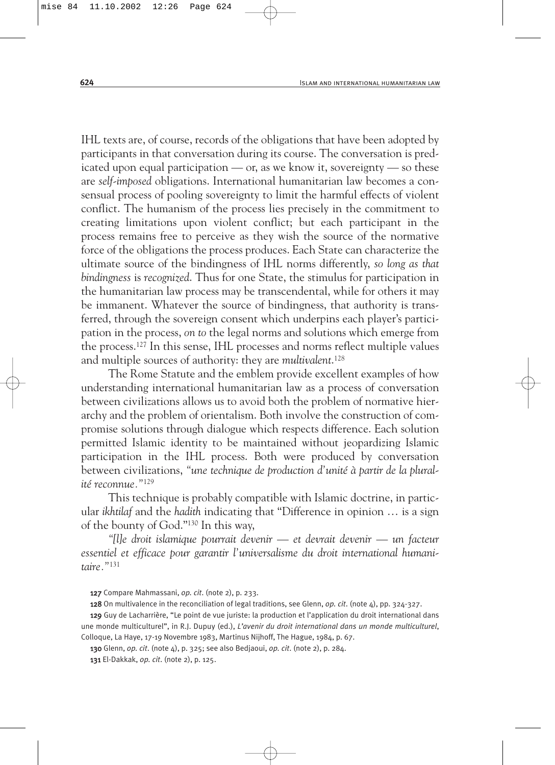IHL texts are, of course, records of the obligations that have been adopted by participants in that conversation during its course. The conversation is predicated upon equal participation — or, as we know it, sovereignty — so these are *self-imposed* obligations. International humanitarian law becomes a consensual process of pooling sovereignty to limit the harmful effects of violent conflict. The humanism of the process lies precisely in the commitment to creating limitations upon violent conflict; but each participant in the process remains free to perceive as they wish the source of the normative force of the obligations the process produces. Each State can characterize the ultimate source of the bindingness of IHL norms differently, *so long as that bindingness* is *recognized*. Thus for one State, the stimulus for participation in the humanitarian law process may be transcendental, while for others it may be immanent. Whatever the source of bindingness, that authority is transferred, through the sovereign consent which underpins each player's participation in the process, *on to* the legal norms and solutions which emerge from the process.127 In this sense, IHL processes and norms reflect multiple values and multiple sources of authority: they are *multivalent*. 128

The Rome Statute and the emblem provide excellent examples of how understanding international humanitarian law as a process of conversation between civilizations allows us to avoid both the problem of normative hierarchy and the problem of orientalism. Both involve the construction of compromise solutions through dialogue which respects difference. Each solution permitted Islamic identity to be maintained without jeopardizing Islamic participation in the IHL process. Both were produced by conversation between civilizations, *"une technique de production d'unité à partir de la pluralité reconnue."*<sup>129</sup>

This technique is probably compatible with Islamic doctrine, in particular *ikhtilaf* and the *hadith* indicating that "Difference in opinion … is a sign of the bounty of God."130 In this way,

*"[l]e droit islamique pourrait devenir* — *et devrait devenir* — *un facteur essentiel et efficace pour garantir l'universalisme du droit international humanitaire."*<sup>131</sup>

129 Guy de Lacharrière, "Le point de vue juriste: la production et l'application du droit international dans une monde multiculturel", in R.J. Dupuy (ed.), *L'avenir du droit international dans un monde multiculturel*, Colloque, La Haye, 17-19 Novembre 1983, Martinus Nijhoff, The Hague, 1984, p. 67.

130 Glenn, *op. cit*. (note 4), p. 325; see also Bedjaoui, *op. cit*. (note 2), p. 284.

<sup>127</sup> Compare Mahmassani, *op. cit*. (note 2), p. 233.

<sup>128</sup> On multivalence in the reconciliation of legal traditions, see Glenn, *op. cit*. (note 4), pp. 324-327.

<sup>131</sup> El-Dakkak, *op. cit*. (note 2), p. 125.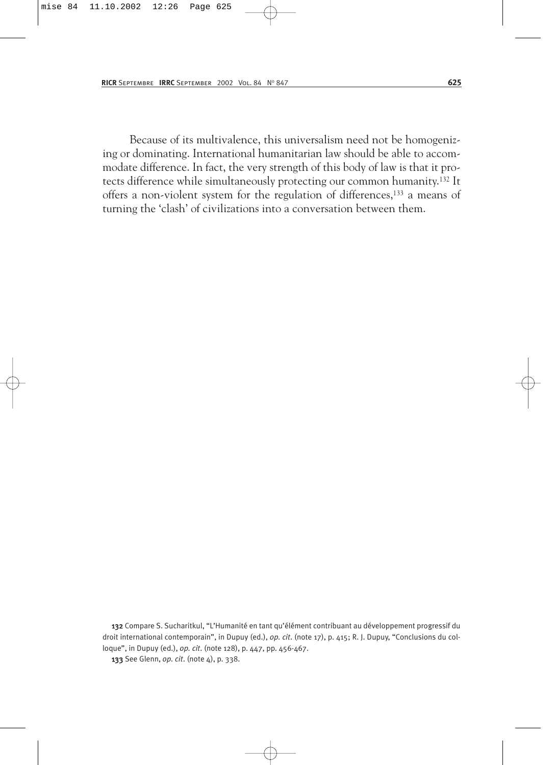Because of its multivalence, this universalism need not be homogenizing or dominating. International humanitarian law should be able to accommodate difference. In fact, the very strength of this body of law is that it protects difference while simultaneously protecting our common humanity.132 It offers a non-violent system for the regulation of differences,133 a means of turning the 'clash' of civilizations into a conversation between them.

132 Compare S. Sucharitkul, "L'Humanité en tant qu'élément contribuant au développement progressif du droit international contemporain", in Dupuy (ed.), *op. cit*. (note 17), p. 415; R. J. Dupuy, "Conclusions du colloque", in Dupuy (ed.), *op. cit*. (note 128), p. 447, pp. 456-467.

133 See Glenn, *op. cit*. (note 4), p. 338.